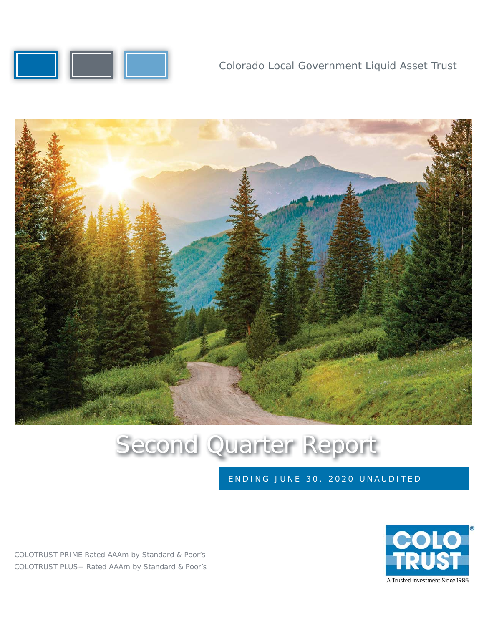

Colorado Local Government Liquid Asset Trust



# Second Quarter Report

ENDING JUNE 30, 2020 UNAUDITED

COLOTRUST PRIME Rated AAAm by Standard & Poor's COLOTRUST PLUS+ Rated AAAm by Standard & Poor's

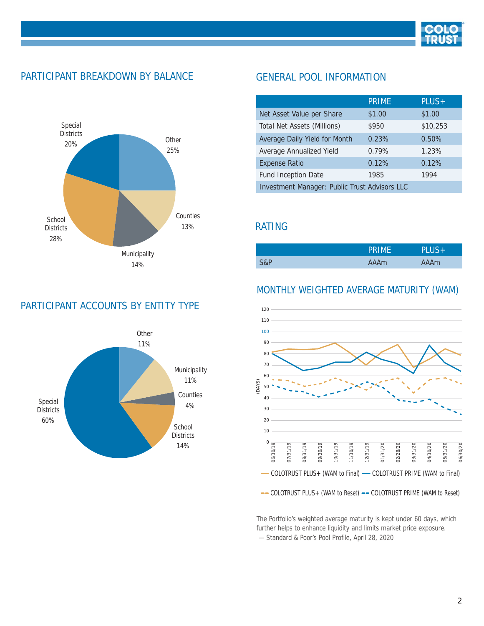

#### PARTICIPANT BREAKDOWN BY BALANCE



#### PARTICIPANT ACCOUNTS BY ENTITY TYPE



#### GENERAL POOL INFORMATION

|                                               | <b>PRIME</b> | PLUS+    |  |  |
|-----------------------------------------------|--------------|----------|--|--|
| Net Asset Value per Share                     | \$1.00       | \$1.00   |  |  |
| Total Net Assets (Millions)                   | \$950        | \$10,253 |  |  |
| Average Daily Yield for Month                 | 0.23%        | 0.50%    |  |  |
| Average Annualized Yield                      | 0.79%        | 1.23%    |  |  |
| <b>Expense Ratio</b>                          | 0.12%        | 0.12%    |  |  |
| Fund Inception Date                           | 1985         | 1994     |  |  |
| Investment Manager: Public Trust Advisors LLC |              |          |  |  |

#### RATING

|     | PRIME | <b>PLUS+</b> |
|-----|-------|--------------|
| S&P | AAAm  | AAAm         |

#### MONTHLY WEIGHTED AVERAGE MATURITY (WAM)



The Portfolio's weighted average maturity is kept under 60 days, which further helps to enhance liquidity and limits market price exposure.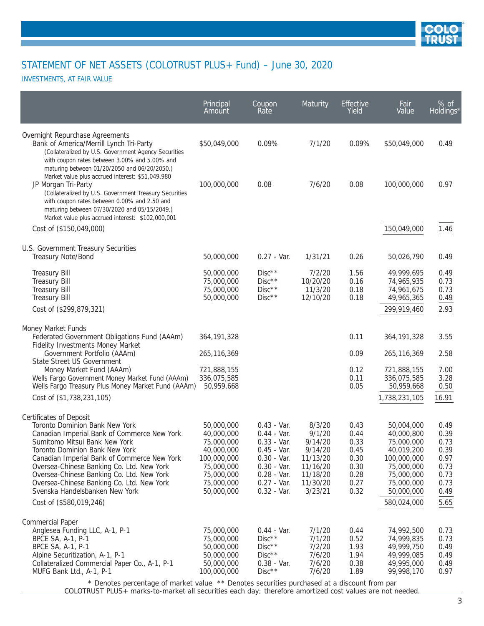

INVESTMENTS, AT FAIR VALUE

|                                                                                                                                                                                                                                                                                                                                                                          | Principal<br>Amount                                                                                                         | Coupon<br>Rate                                                                                                                                      | Maturity                                                                                          | Effective<br>Yield                                                   | Fair<br>Value                                                                                                               | % of<br>Holdings*                                                    |
|--------------------------------------------------------------------------------------------------------------------------------------------------------------------------------------------------------------------------------------------------------------------------------------------------------------------------------------------------------------------------|-----------------------------------------------------------------------------------------------------------------------------|-----------------------------------------------------------------------------------------------------------------------------------------------------|---------------------------------------------------------------------------------------------------|----------------------------------------------------------------------|-----------------------------------------------------------------------------------------------------------------------------|----------------------------------------------------------------------|
| Overnight Repurchase Agreements<br>Bank of America/Merrill Lynch Tri-Party<br>(Collateralized by U.S. Government Agency Securities<br>with coupon rates between 3.00% and 5.00% and<br>maturing between 01/20/2050 and 06/20/2050.)                                                                                                                                      | \$50,049,000                                                                                                                | 0.09%                                                                                                                                               | 7/1/20                                                                                            | 0.09%                                                                | \$50,049,000                                                                                                                | 0.49                                                                 |
| Market value plus accrued interest: \$51,049,980<br>JP Morgan Tri-Party<br>(Collateralized by U.S. Government Treasury Securities<br>with coupon rates between 0.00% and 2.50 and<br>maturing between 07/30/2020 and 05/15/2049.)<br>Market value plus accrued interest: \$102,000,001                                                                                   | 100,000,000                                                                                                                 | 0.08                                                                                                                                                | 7/6/20                                                                                            | 0.08                                                                 | 100,000,000                                                                                                                 | 0.97                                                                 |
| Cost of (\$150,049,000)                                                                                                                                                                                                                                                                                                                                                  |                                                                                                                             |                                                                                                                                                     |                                                                                                   |                                                                      | 150,049,000                                                                                                                 | 1.46                                                                 |
| U.S. Government Treasury Securities<br>Treasury Note/Bond                                                                                                                                                                                                                                                                                                                | 50,000,000                                                                                                                  | $0.27 - Var.$                                                                                                                                       | 1/31/21                                                                                           | 0.26                                                                 | 50,026,790                                                                                                                  | 0.49                                                                 |
| <b>Treasury Bill</b><br><b>Treasury Bill</b><br><b>Treasury Bill</b><br><b>Treasury Bill</b>                                                                                                                                                                                                                                                                             | 50,000,000<br>75,000,000<br>75,000,000<br>50,000,000                                                                        | $Disc**$<br>$Disc**$<br>$Disc**$<br>$Disc**$                                                                                                        | 7/2/20<br>10/20/20<br>11/3/20<br>12/10/20                                                         | 1.56<br>0.16<br>0.18<br>0.18                                         | 49,999,695<br>74,965,935<br>74,961,675<br>49,965,365                                                                        | 0.49<br>0.73<br>0.73<br>0.49                                         |
| Cost of (\$299,879,321)                                                                                                                                                                                                                                                                                                                                                  |                                                                                                                             |                                                                                                                                                     |                                                                                                   |                                                                      | 299,919,460                                                                                                                 | 2.93                                                                 |
| Money Market Funds<br>Federated Government Obligations Fund (AAAm)<br><b>Fidelity Investments Money Market</b>                                                                                                                                                                                                                                                           | 364, 191, 328                                                                                                               |                                                                                                                                                     |                                                                                                   | 0.11                                                                 | 364, 191, 328                                                                                                               | 3.55                                                                 |
| Government Portfolio (AAAm)<br>State Street US Government<br>Money Market Fund (AAAm)<br>Wells Fargo Government Money Market Fund (AAAm)<br>Wells Fargo Treasury Plus Money Market Fund (AAAm)<br>Cost of (\$1,738,231,105)                                                                                                                                              | 265, 116, 369<br>721,888,155<br>336,075,585<br>50,959,668                                                                   |                                                                                                                                                     |                                                                                                   | 0.09<br>0.12<br>0.11<br>0.05                                         | 265,116,369<br>721,888,155<br>336,075,585<br>50,959,668<br>1,738,231,105                                                    | 2.58<br>7.00<br>3.28<br>0.50<br>16.91                                |
| <b>Certificates of Deposit</b>                                                                                                                                                                                                                                                                                                                                           |                                                                                                                             |                                                                                                                                                     |                                                                                                   |                                                                      |                                                                                                                             |                                                                      |
| Toronto Dominion Bank New York<br>Canadian Imperial Bank of Commerce New York<br>Sumitomo Mitsui Bank New York<br>Toronto Dominion Bank New York<br>Canadian Imperial Bank of Commerce New York<br>Oversea-Chinese Banking Co. Ltd. New York<br>Oversea-Chinese Banking Co. Ltd. New York<br>Oversea-Chinese Banking Co. Ltd. New York<br>Svenska Handelsbanken New York | 50,000,000<br>40,000,000<br>75,000,000<br>40,000,000<br>100,000,000<br>75,000,000<br>75,000,000<br>75,000,000<br>50,000,000 | $0.43 - Var.$<br>$0.44 - Var.$<br>$0.33 - Var.$<br>$0.45 - Var.$<br>$0.30 - Var.$<br>$0.30 - Var.$<br>$0.28 - Var.$<br>$0.27 - Var.$<br>0.32 - Var. | 8/3/20<br>9/1/20<br>9/14/20<br>9/14/20<br>11/13/20<br>11/16/20<br>11/18/20<br>11/30/20<br>3/23/21 | 0.43<br>0.44<br>0.33<br>0.45<br>0.30<br>0.30<br>0.28<br>0.27<br>0.32 | 50,004,000<br>40,000,800<br>75,000,000<br>40,019,200<br>100,000,000<br>75,000,000<br>75,000,000<br>75,000,000<br>50,000,000 | 0.49<br>0.39<br>0.73<br>0.39<br>0.97<br>0.73<br>0.73<br>0.73<br>0.49 |
| Cost of (\$580,019,246)                                                                                                                                                                                                                                                                                                                                                  |                                                                                                                             |                                                                                                                                                     |                                                                                                   |                                                                      | 580,024,000                                                                                                                 | 5.65                                                                 |
| <b>Commercial Paper</b><br>Anglesea Funding LLC, A-1, P-1<br>BPCE SA, A-1, P-1<br>BPCE SA, A-1, P-1<br>Alpine Securitization, A-1, P-1<br>Collateralized Commercial Paper Co., A-1, P-1<br>MUFG Bank Ltd., A-1, P-1<br>* Departes perceptage of market value ** Departes securities purchased at a discount from part                                                    | 75,000,000<br>75,000,000<br>50,000,000<br>50,000,000<br>50,000,000<br>100,000,000                                           | $0.44 - Var.$<br>$Disc**$<br>$Disc**$<br>$Disc**$<br>$0.38 - Var.$<br>$Disc**$                                                                      | 7/1/20<br>7/1/20<br>7/2/20<br>7/6/20<br>7/6/20<br>7/6/20                                          | 0.44<br>0.52<br>1.93<br>1.94<br>0.38<br>1.89                         | 74,992,500<br>74,999,835<br>49,999,750<br>49,999,085<br>49,995,000<br>99,998,170                                            | 0.73<br>0.73<br>0.49<br>0.49<br>0.49<br>0.97                         |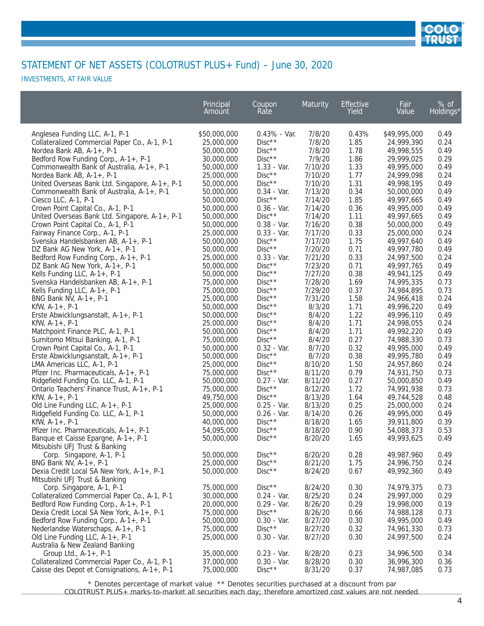

INVESTMENTS, AT FAIR VALUE

|                                                                        | Principal<br>Amount      | Coupon<br>Rate                 | Maturity           | Effective<br>Yield | Fair<br>Value            | % of<br>Holdings* |
|------------------------------------------------------------------------|--------------------------|--------------------------------|--------------------|--------------------|--------------------------|-------------------|
| Anglesea Funding LLC, A-1, P-1                                         | \$50,000,000             | $0.43% - Var.$                 | 7/8/20             | 0.43%              | \$49,995,000             | 0.49              |
| Collateralized Commercial Paper Co., A-1, P-1                          | 25,000,000               | $Disc**$                       | 7/8/20             | 1.85               | 24,999,390               | 0.24              |
| Nordea Bank AB, A-1+, P-1                                              | 50,000,000               | $Disc**$                       | 7/8/20             | 1.78               | 49,998,555               | 0.49              |
| Bedford Row Funding Corp., A-1+, P-1                                   | 30,000,000               | $Disc**$                       | 7/9/20             | 1.86               | 29,999,025               | 0.29              |
| Commonwealth Bank of Australia, A-1+, P-1                              | 50,000,000               | 1.33 - Var.                    | 7/10/20            | 1.33               | 49,995,000               | 0.49              |
| Nordea Bank AB, A-1+, P-1                                              | 25,000,000               | $Disc**$                       | 7/10/20            | 1.77               | 24,999,098               | 0.24              |
| United Overseas Bank Ltd. Singapore, A-1+, P-1                         | 50,000,000               | $Disc**$                       | 7/10/20            | 1.31               | 49,998,195               | 0.49              |
| Commonwealth Bank of Australia, A-1+, P-1                              | 50,000,000               | $0.34 - Var.$                  | 7/13/20            | 0.34               | 50,000,000               | 0.49              |
| Ciesco LLC, A-1, P-1                                                   | 50,000,000               | $Disc**$                       | 7/14/20            | 1.85               | 49,997,665               | 0.49              |
| Crown Point Capital Co., A-1, P-1                                      | 50,000,000               | $0.36 - Var.$                  | 7/14/20            | 0.36               | 49,995,000               | 0.49              |
| United Overseas Bank Ltd. Singapore, A-1+, P-1                         | 50,000,000               | $Disc**$                       | 7/14/20            | 1.11               | 49,997,665               | 0.49              |
| Crown Point Capital Co., A-1, P-1                                      | 50,000,000               | $0.38 - Var.$                  | 7/16/20            | 0.38               | 50,000,000               | 0.49              |
| Fairway Finance Corp., A-1, P-1                                        | 25,000,000               | $0.33 - Var.$                  | 7/17/20            | 0.33               | 25,000,000               | 0.24              |
| Svenska Handelsbanken AB, A-1+, P-1                                    | 50,000,000               | $Disc**$                       | 7/17/20            | 1.75               | 49,997,640               | 0.49              |
| DZ Bank AG New York, A-1+, P-1                                         | 50,000,000               | $Disc**$                       | 7/20/20            | 0.71               | 49,997,780               | 0.49              |
| Bedford Row Funding Corp., A-1+, P-1                                   | 25,000,000               | $0.33 - Var.$                  | 7/21/20            | 0.33               | 24,997,500               | 0.24              |
| DZ Bank AG New York, A-1+, P-1                                         | 50,000,000               | $Disc**$                       | 7/23/20            | 0.71               | 49,997,765               | 0.49              |
| Kells Funding LLC, A-1+, P-1                                           | 50,000,000               | $Disc**$                       | 7/27/20            | 0.38               | 49,941,125               | 0.49              |
| Svenska Handelsbanken AB, A-1+, P-1                                    | 75,000,000               | $Disc**$                       | 7/28/20            | 1.69               | 74,995,335               | 0.73              |
| Kells Funding LLC, A-1+, P-1                                           | 75,000,000               | $Disc**$                       | 7/29/20            | 0.37               | 74,984,895               | 0.73              |
| BNG Bank NV, A-1+, P-1                                                 | 25,000,000               | $Disc**$                       | 7/31/20            | 1.58               | 24,966,418               | 0.24              |
| $KfW, A-1+, P-1$                                                       | 50,000,000               | $Disc**$                       | 8/3/20             | 1.71               | 49,996,220               | 0.49              |
| Erste Abwicklungsanstalt, A-1+, P-1                                    | 50,000,000               | $Disc**$                       | 8/4/20             | 1.22               | 49,996,110               | 0.49              |
| $KfW, A-1+, P-1$                                                       | 25,000,000               | $Disc**$                       | 8/4/20             | 1.71               | 24,998,055               | 0.24              |
| Matchpoint Finance PLC, A-1, P-1                                       | 50,000,000               | $Disc**$                       | 8/4/20             | 1.71               | 49,992,220               | 0.49              |
| Sumitomo Mitsui Banking, A-1, P-1                                      | 75,000,000               | $Disc**$                       | 8/4/20             | 0.27               | 74,988,330               | 0.73              |
| Crown Point Capital Co., A-1, P-1                                      | 50,000,000               | $0.32 - Var.$                  | 8/7/20             | 0.32               | 49,995,000               | 0.49              |
| Erste Abwicklungsanstalt, A-1+, P-1                                    | 50,000,000               | $Disc**$                       | 8/7/20             | 0.38               | 49,995,780               | 0.49              |
| LMA Americas LLC, A-1, P-1                                             | 25,000,000               | $Disc**$                       | 8/10/20            | 1.50               | 24,957,860               | 0.24              |
| Pfizer Inc. Pharmaceuticals, A-1+, P-1                                 | 75,000,000               | $Disc**$                       | 8/11/20            | 0.79               | 74,931,750               | 0.73              |
| Ridgefield Funding Co. LLC, A-1, P-1                                   | 50,000,000               | $0.27 - Var.$                  | 8/11/20            | 0.27               | 50,000,850               | 0.49              |
| Ontario Teachers' Finance Trust, A-1+, P-1                             | 75,000,000               | $Disc**$                       | 8/12/20            | 1.72               | 74,991,938               | 0.73              |
| $KfW, A-1+, P-1$                                                       | 49,750,000               | $Disc**$                       | 8/13/20            | 1.64               | 49,744,528               | 0.48              |
| Old Line Funding LLC, A-1+, P-1                                        | 25,000,000               | $0.25 - Var.$                  | 8/13/20            | 0.25               | 25,000,000               | 0.24              |
| Ridgefield Funding Co. LLC, A-1, P-1                                   | 50,000,000               | $0.26 - Var.$                  | 8/14/20            | 0.26               | 49,995,000               | 0.49              |
| $KfW, A-1+, P-1$                                                       | 40,000,000               | $Disc**$                       | 8/18/20            | 1.65               | 39,911,800               | 0.39              |
| Pfizer Inc. Pharmaceuticals, A-1+, P-1                                 | 54,095,000               | $Disc**$                       | 8/18/20            | 0.90               | 54,088,373               | 0.53              |
| Banque et Caisse Epargne, A-1+, P-1                                    | 50,000,000               | $Disc**$                       | 8/20/20            | 1.65               | 49,993,625               | 0.49              |
| Mitsubishi UFJ Trust & Banking                                         |                          |                                |                    |                    |                          |                   |
| Corp. Singapore, A-1, P-1                                              | 50,000,000               | $Disc**$                       | 8/20/20            | 0.28               | 49,987,960               | 0.49              |
| BNG Bank NV, A-1+, P-1                                                 | 25,000,000               | $Disc**$                       | 8/21/20            | 1.75               | 24,996,750               | 0.24              |
| Dexia Credit Local SA New York, A-1+, P-1                              | 50,000,000               | $Disc**$                       | 8/24/20            | 0.67               | 49,992,360               | 0.49              |
| Mitsubishi UFJ Trust & Banking                                         |                          |                                |                    |                    |                          |                   |
| Corp. Singapore, A-1, P-1                                              | 75,000,000               | $Disc**$                       | 8/24/20            | 0.30               | 74,979,375               | 0.73              |
| Collateralized Commercial Paper Co., A-1, P-1                          | 30,000,000               | $0.24 - Var.$                  | 8/25/20            | 0.24               | 29,997,000               | 0.29              |
| Bedford Row Funding Corp., A-1+, P-1                                   | 20,000,000               | $0.29 - Var.$                  | 8/26/20            | 0.29               | 19,998,000               | 0.19              |
| Dexia Credit Local SA New York, A-1+, P-1                              | 75,000,000               | $Disc**$                       | 8/26/20            | 0.66               | 74,988,128               | 0.73              |
| Bedford Row Funding Corp., A-1+, P-1                                   | 50,000,000               | $0.30 - Var.$                  | 8/27/20            | 0.30               | 49,995,000               | 0.49              |
| Nederlandse Waterschaps, A-1+, P-1                                     | 75,000,000               | $Disc**$                       | 8/27/20            | 0.32               | 74,961,330               | 0.73              |
| Old Line Funding LLC, A-1+, P-1                                        | 25,000,000               | $0.30 - Var.$                  | 8/27/20            | 0.30               | 24,997,500               | 0.24              |
| Australia & New Zealand Banking                                        |                          |                                |                    |                    |                          |                   |
| Group Ltd., A-1+, P-1<br>Collateralized Commercial Paper Co., A-1, P-1 | 35,000,000<br>37,000,000 | $0.23 - Var.$<br>$0.30 - Var.$ | 8/28/20<br>8/28/20 | 0.23<br>0.30       | 34,996,500<br>36,996,300 | 0.34<br>0.36      |
| Caisse des Depot et Consignations, A-1+, P-1                           | 75,000,000               | $Disc**$                       | 8/31/20            | 0.37               | 74,987,085               | 0.73              |
|                                                                        |                          |                                |                    |                    |                          |                   |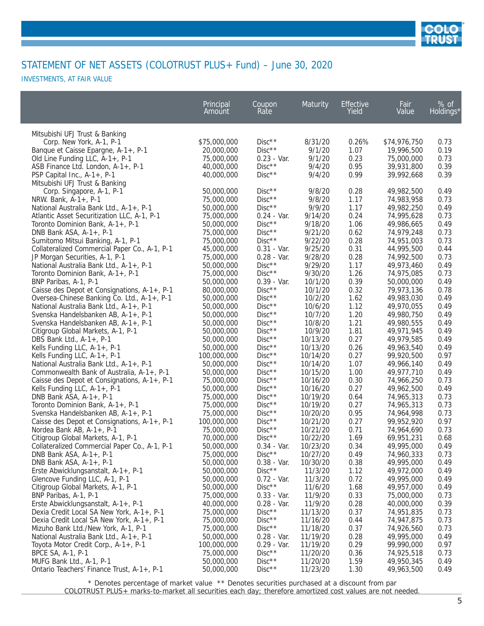

INVESTMENTS, AT FAIR VALUE

| Mitsubishi UFJ Trust & Banking<br>$Disc**$<br>Corp. New York, A-1, P-1<br>\$75,000,000<br>8/31/20<br>0.26%<br>\$74,976,750<br>0.73<br>$Disc**$<br>20,000,000<br>9/1/20<br>1.07<br>19,996,500<br>0.19<br>Banque et Caisse Epargne, A-1+, P-1<br>$0.23 - Var.$<br>0.23<br>75,000,000<br>9/1/20<br>75,000,000<br>0.73<br>Old Line Funding LLC, A-1+, P-1<br>$Disc**$<br>9/4/20<br>0.95<br>39,931,800<br>0.39<br>ASB Finance Ltd. London, A-1+, P-1<br>40,000,000<br>0.99<br>0.39<br>40,000,000<br>$Disc**$<br>9/4/20<br>39,992,668<br>PSP Capital Inc., A-1+, P-1<br>Mitsubishi UFJ Trust & Banking<br>50,000,000<br>$Disc**$<br>9/8/20<br>0.28<br>49,982,500<br>0.49<br>Corp. Singapore, A-1, P-1<br>$Disc**$<br>75,000,000<br>9/8/20<br>1.17<br>74,983,958<br>0.73<br>NRW. Bank, A-1+, P-1<br>$Disc**$<br>9/9/20<br>1.17<br>50,000,000<br>49,982,250<br>0.49<br>National Australia Bank Ltd., A-1+, P-1<br>9/14/20<br>0.24<br>$0.24 - Var.$<br>74,995,628<br>0.73<br>Atlantic Asset Securitization LLC, A-1, P-1<br>75,000,000<br>$Disc**$<br>1.06<br>9/18/20<br>49,986,665<br>0.49<br>Toronto Dominion Bank, A-1+, P-1<br>50,000,000<br>$Disc**$<br>0.62<br>74,979,248<br>0.73<br>75,000,000<br>9/21/20<br>DNB Bank ASA, A-1+, P-1<br>$Disc**$<br>9/22/20<br>0.28<br>Sumitomo Mitsui Banking, A-1, P-1<br>75,000,000<br>74,951,003<br>0.73<br>9/25/20<br>0.31<br>Collateralized Commercial Paper Co., A-1, P-1<br>45,000,000<br>$0.31 - Var.$<br>44,995,500<br>0.44<br>$0.28 - Var.$<br>9/28/20<br>0.28<br>74,992,500<br>0.73<br>JP Morgan Securities, A-1, P-1<br>75,000,000<br>$Disc**$<br>9/29/20<br>1.17<br>50,000,000<br>49,973,460<br>0.49<br>National Australia Bank Ltd., A-1+, P-1<br>$Disc**$<br>75,000,000<br>9/30/20<br>1.26<br>74,975,085<br>0.73<br>Toronto Dominion Bank, A-1+, P-1<br>$0.39 - Var.$<br>0.39<br>10/1/20<br>50,000,000<br>0.49<br>BNP Paribas, A-1, P-1<br>50,000,000<br>$Disc**$<br>0.32<br>Caisse des Depot et Consignations, A-1+, P-1<br>10/1/20<br>79,973,136<br>0.78<br>80,000,000<br>$Disc**$<br>10/2/20<br>1.62<br>Oversea-Chinese Banking Co. Ltd., A-1+, P-1<br>49,983,030<br>0.49<br>50,000,000<br>$Disc**$<br>10/6/20<br>1.12<br>49,970,055<br>0.49<br>National Australia Bank Ltd., A-1+, P-1<br>50,000,000<br>$Disc**$<br>1.20<br>10/7/20<br>49,980,750<br>0.49<br>Svenska Handelsbanken AB, A-1+, P-1<br>50,000,000<br>$Disc**$<br>1.21<br>10/8/20<br>49,980,555<br>0.49<br>Svenska Handelsbanken AB, A-1+, P-1<br>50,000,000<br>$Disc**$<br>10/9/20<br>1.81<br>50,000,000<br>49,971,945<br>0.49<br>Citigroup Global Markets, A-1, P-1<br>$Disc**$<br>0.27<br>10/13/20<br>49,979,585<br>0.49<br>DBS Bank Ltd., A-1+, P-1<br>50,000,000<br>$Disc**$<br>0.26<br>10/13/20<br>49,963,540<br>0.49<br>Kells Funding LLC, A-1+, P-1<br>50,000,000<br>$Disc**$<br>0.27<br>0.97<br>100,000,000<br>10/14/20<br>99,920,500<br>Kells Funding LLC, A-1+, P-1<br>$Disc**$<br>1.07<br>National Australia Bank Ltd., A-1+, P-1<br>50,000,000<br>10/14/20<br>49,966,140<br>0.49<br>1.00<br>Commonwealth Bank of Australia, A-1+, P-1<br>$Disc**$<br>10/15/20<br>49,977,710<br>0.49<br>50,000,000<br>$Disc**$<br>10/16/20<br>0.30<br>74,966,250<br>0.73<br>Caisse des Depot et Consignations, A-1+, P-1<br>75,000,000<br>$Disc**$<br>0.27<br>10/16/20<br>49,962,500<br>0.49<br>Kells Funding LLC, A-1+, P-1<br>50,000,000<br>$Disc**$<br>75,000,000<br>10/19/20<br>0.64<br>74,965,313<br>0.73<br>DNB Bank $ASA$ , $A-1+$ , $P-1$<br>$Disc**$<br>0.27<br>0.73<br>75,000,000<br>10/19/20<br>74,965,313<br>Toronto Dominion Bank, A-1+, P-1<br>$Disc**$<br>10/20/20<br>0.95<br>74,964,998<br>0.73<br>Svenska Handelsbanken AB, A-1+, P-1<br>75,000,000<br>$Disc**$<br>0.27<br>0.97<br>100,000,000<br>10/21/20<br>99,952,920<br>Caisse des Depot et Consignations, A-1+, P-1<br>$Disc**$<br>10/21/20<br>0.71<br>0.73<br>Nordea Bank AB, A-1+, P-1<br>75,000,000<br>74,964,690<br>$Disc**$<br>1.69<br>Citigroup Global Markets, A-1, P-1<br>70,000,000<br>10/22/20<br>69,951,231<br>0.68<br>Collateralized Commercial Paper Co., A-1, P-1<br>50,000,000<br>10/23/20<br>0.34<br>49,995,000<br>0.49<br>$0.34 - Var.$<br>DNB Bank ASA, A-1+, P-1<br>75,000,000<br>$Disc**$<br>10/27/20<br>74,960,333<br>0.73<br>0.49<br>10/30/20<br>DNB Bank $ASA$ , $A-1+$ , $P-1$<br>50,000,000<br>$0.38 - Var.$<br>0.38<br>49,995,000<br>0.49<br>$Disc**$<br>11/3/20<br>1.12<br>Erste Abwicklungsanstalt, A-1+, P-1<br>50,000,000<br>49,972,000<br>0.49<br>Glencove Funding LLC, A-1, P-1<br>50,000,000<br>0.72 - Var.<br>11/3/20<br>0.72<br>49,995,000<br>0.49<br>$Disc**$<br>Citigroup Global Markets, A-1, P-1<br>50,000,000<br>11/6/20<br>1.68<br>49,957,000<br>0.49<br>BNP Paribas, A-1, P-1<br>$0.33 - Var.$<br>11/9/20<br>0.33<br>75,000,000<br>75,000,000<br>0.73<br>$0.28 - Var.$<br>11/9/20<br>0.28<br>Erste Abwicklungsanstalt, A-1+, P-1<br>40,000,000<br>40,000,000<br>0.39<br>$Disc**$<br>Dexia Credit Local SA New York, A-1+, P-1<br>75,000,000<br>11/13/20<br>0.37<br>74,951,835<br>0.73<br>75,000,000<br>$Disc**$<br>0.44<br>0.73<br>Dexia Credit Local SA New York, A-1+, P-1<br>11/16/20<br>74,947,875<br>Mizuho Bank Ltd./New York, A-1, P-1<br>75,000,000<br>$Disc**$<br>11/18/20<br>0.37<br>74,926,560<br>0.73<br>National Australia Bank Ltd., A-1+, P-1<br>50,000,000<br>$0.28 - Var.$<br>11/19/20<br>0.28<br>49,995,000<br>0.49<br>11/19/20<br>0.29<br>99,990,000<br>Toyota Motor Credit Corp., A-1+, P-1<br>100,000,000<br>$0.29 - Var.$<br>0.97<br>$Disc**$<br>BPCE SA, A-1, P-1<br>75,000,000<br>11/20/20<br>0.36<br>74,925,518<br>0.73<br>$Disc**$<br>MUFG Bank Ltd., A-1, P-1<br>11/20/20<br>1.59<br>49,950,345<br>50,000,000<br>0.49 | Principal<br>Amount | Coupon<br>Rate | Maturity | <b>Effective</b><br>Yield | Fair<br>Value | % of<br>Holdings* |
|----------------------------------------------------------------------------------------------------------------------------------------------------------------------------------------------------------------------------------------------------------------------------------------------------------------------------------------------------------------------------------------------------------------------------------------------------------------------------------------------------------------------------------------------------------------------------------------------------------------------------------------------------------------------------------------------------------------------------------------------------------------------------------------------------------------------------------------------------------------------------------------------------------------------------------------------------------------------------------------------------------------------------------------------------------------------------------------------------------------------------------------------------------------------------------------------------------------------------------------------------------------------------------------------------------------------------------------------------------------------------------------------------------------------------------------------------------------------------------------------------------------------------------------------------------------------------------------------------------------------------------------------------------------------------------------------------------------------------------------------------------------------------------------------------------------------------------------------------------------------------------------------------------------------------------------------------------------------------------------------------------------------------------------------------------------------------------------------------------------------------------------------------------------------------------------------------------------------------------------------------------------------------------------------------------------------------------------------------------------------------------------------------------------------------------------------------------------------------------------------------------------------------------------------------------------------------------------------------------------------------------------------------------------------------------------------------------------------------------------------------------------------------------------------------------------------------------------------------------------------------------------------------------------------------------------------------------------------------------------------------------------------------------------------------------------------------------------------------------------------------------------------------------------------------------------------------------------------------------------------------------------------------------------------------------------------------------------------------------------------------------------------------------------------------------------------------------------------------------------------------------------------------------------------------------------------------------------------------------------------------------------------------------------------------------------------------------------------------------------------------------------------------------------------------------------------------------------------------------------------------------------------------------------------------------------------------------------------------------------------------------------------------------------------------------------------------------------------------------------------------------------------------------------------------------------------------------------------------------------------------------------------------------------------------------------------------------------------------------------------------------------------------------------------------------------------------------------------------------------------------------------------------------------------------------------------------------------------------------------------------------------------------------------------------------------------------------------------------------------------------------------------------------------------------------------------------------------------------------------------------------------------------------------------------------------------------------------------------------------------------------------------------------------------------------------------------------------------------------------------------------------------------------------------------------------------------------------------------------------------------------------------------------------------------------------------------------------------------------------------------------------------------------------------------------------------------------------------------------------------------------------------------------------------------------------------------------------------------------------------------------------------------------------------------|---------------------|----------------|----------|---------------------------|---------------|-------------------|
|                                                                                                                                                                                                                                                                                                                                                                                                                                                                                                                                                                                                                                                                                                                                                                                                                                                                                                                                                                                                                                                                                                                                                                                                                                                                                                                                                                                                                                                                                                                                                                                                                                                                                                                                                                                                                                                                                                                                                                                                                                                                                                                                                                                                                                                                                                                                                                                                                                                                                                                                                                                                                                                                                                                                                                                                                                                                                                                                                                                                                                                                                                                                                                                                                                                                                                                                                                                                                                                                                                                                                                                                                                                                                                                                                                                                                                                                                                                                                                                                                                                                                                                                                                                                                                                                                                                                                                                                                                                                                                                                                                                                                                                                                                                                                                                                                                                                                                                                                                                                                                                                                                                                                                                                                                                                                                                                                                                                                                                                                                                                                                                                                                                                            |                     |                |          |                           |               |                   |
|                                                                                                                                                                                                                                                                                                                                                                                                                                                                                                                                                                                                                                                                                                                                                                                                                                                                                                                                                                                                                                                                                                                                                                                                                                                                                                                                                                                                                                                                                                                                                                                                                                                                                                                                                                                                                                                                                                                                                                                                                                                                                                                                                                                                                                                                                                                                                                                                                                                                                                                                                                                                                                                                                                                                                                                                                                                                                                                                                                                                                                                                                                                                                                                                                                                                                                                                                                                                                                                                                                                                                                                                                                                                                                                                                                                                                                                                                                                                                                                                                                                                                                                                                                                                                                                                                                                                                                                                                                                                                                                                                                                                                                                                                                                                                                                                                                                                                                                                                                                                                                                                                                                                                                                                                                                                                                                                                                                                                                                                                                                                                                                                                                                                            |                     |                |          |                           |               |                   |
|                                                                                                                                                                                                                                                                                                                                                                                                                                                                                                                                                                                                                                                                                                                                                                                                                                                                                                                                                                                                                                                                                                                                                                                                                                                                                                                                                                                                                                                                                                                                                                                                                                                                                                                                                                                                                                                                                                                                                                                                                                                                                                                                                                                                                                                                                                                                                                                                                                                                                                                                                                                                                                                                                                                                                                                                                                                                                                                                                                                                                                                                                                                                                                                                                                                                                                                                                                                                                                                                                                                                                                                                                                                                                                                                                                                                                                                                                                                                                                                                                                                                                                                                                                                                                                                                                                                                                                                                                                                                                                                                                                                                                                                                                                                                                                                                                                                                                                                                                                                                                                                                                                                                                                                                                                                                                                                                                                                                                                                                                                                                                                                                                                                                            |                     |                |          |                           |               |                   |
|                                                                                                                                                                                                                                                                                                                                                                                                                                                                                                                                                                                                                                                                                                                                                                                                                                                                                                                                                                                                                                                                                                                                                                                                                                                                                                                                                                                                                                                                                                                                                                                                                                                                                                                                                                                                                                                                                                                                                                                                                                                                                                                                                                                                                                                                                                                                                                                                                                                                                                                                                                                                                                                                                                                                                                                                                                                                                                                                                                                                                                                                                                                                                                                                                                                                                                                                                                                                                                                                                                                                                                                                                                                                                                                                                                                                                                                                                                                                                                                                                                                                                                                                                                                                                                                                                                                                                                                                                                                                                                                                                                                                                                                                                                                                                                                                                                                                                                                                                                                                                                                                                                                                                                                                                                                                                                                                                                                                                                                                                                                                                                                                                                                                            |                     |                |          |                           |               |                   |
|                                                                                                                                                                                                                                                                                                                                                                                                                                                                                                                                                                                                                                                                                                                                                                                                                                                                                                                                                                                                                                                                                                                                                                                                                                                                                                                                                                                                                                                                                                                                                                                                                                                                                                                                                                                                                                                                                                                                                                                                                                                                                                                                                                                                                                                                                                                                                                                                                                                                                                                                                                                                                                                                                                                                                                                                                                                                                                                                                                                                                                                                                                                                                                                                                                                                                                                                                                                                                                                                                                                                                                                                                                                                                                                                                                                                                                                                                                                                                                                                                                                                                                                                                                                                                                                                                                                                                                                                                                                                                                                                                                                                                                                                                                                                                                                                                                                                                                                                                                                                                                                                                                                                                                                                                                                                                                                                                                                                                                                                                                                                                                                                                                                                            |                     |                |          |                           |               |                   |
|                                                                                                                                                                                                                                                                                                                                                                                                                                                                                                                                                                                                                                                                                                                                                                                                                                                                                                                                                                                                                                                                                                                                                                                                                                                                                                                                                                                                                                                                                                                                                                                                                                                                                                                                                                                                                                                                                                                                                                                                                                                                                                                                                                                                                                                                                                                                                                                                                                                                                                                                                                                                                                                                                                                                                                                                                                                                                                                                                                                                                                                                                                                                                                                                                                                                                                                                                                                                                                                                                                                                                                                                                                                                                                                                                                                                                                                                                                                                                                                                                                                                                                                                                                                                                                                                                                                                                                                                                                                                                                                                                                                                                                                                                                                                                                                                                                                                                                                                                                                                                                                                                                                                                                                                                                                                                                                                                                                                                                                                                                                                                                                                                                                                            |                     |                |          |                           |               |                   |
|                                                                                                                                                                                                                                                                                                                                                                                                                                                                                                                                                                                                                                                                                                                                                                                                                                                                                                                                                                                                                                                                                                                                                                                                                                                                                                                                                                                                                                                                                                                                                                                                                                                                                                                                                                                                                                                                                                                                                                                                                                                                                                                                                                                                                                                                                                                                                                                                                                                                                                                                                                                                                                                                                                                                                                                                                                                                                                                                                                                                                                                                                                                                                                                                                                                                                                                                                                                                                                                                                                                                                                                                                                                                                                                                                                                                                                                                                                                                                                                                                                                                                                                                                                                                                                                                                                                                                                                                                                                                                                                                                                                                                                                                                                                                                                                                                                                                                                                                                                                                                                                                                                                                                                                                                                                                                                                                                                                                                                                                                                                                                                                                                                                                            |                     |                |          |                           |               |                   |
|                                                                                                                                                                                                                                                                                                                                                                                                                                                                                                                                                                                                                                                                                                                                                                                                                                                                                                                                                                                                                                                                                                                                                                                                                                                                                                                                                                                                                                                                                                                                                                                                                                                                                                                                                                                                                                                                                                                                                                                                                                                                                                                                                                                                                                                                                                                                                                                                                                                                                                                                                                                                                                                                                                                                                                                                                                                                                                                                                                                                                                                                                                                                                                                                                                                                                                                                                                                                                                                                                                                                                                                                                                                                                                                                                                                                                                                                                                                                                                                                                                                                                                                                                                                                                                                                                                                                                                                                                                                                                                                                                                                                                                                                                                                                                                                                                                                                                                                                                                                                                                                                                                                                                                                                                                                                                                                                                                                                                                                                                                                                                                                                                                                                            |                     |                |          |                           |               |                   |
|                                                                                                                                                                                                                                                                                                                                                                                                                                                                                                                                                                                                                                                                                                                                                                                                                                                                                                                                                                                                                                                                                                                                                                                                                                                                                                                                                                                                                                                                                                                                                                                                                                                                                                                                                                                                                                                                                                                                                                                                                                                                                                                                                                                                                                                                                                                                                                                                                                                                                                                                                                                                                                                                                                                                                                                                                                                                                                                                                                                                                                                                                                                                                                                                                                                                                                                                                                                                                                                                                                                                                                                                                                                                                                                                                                                                                                                                                                                                                                                                                                                                                                                                                                                                                                                                                                                                                                                                                                                                                                                                                                                                                                                                                                                                                                                                                                                                                                                                                                                                                                                                                                                                                                                                                                                                                                                                                                                                                                                                                                                                                                                                                                                                            |                     |                |          |                           |               |                   |
|                                                                                                                                                                                                                                                                                                                                                                                                                                                                                                                                                                                                                                                                                                                                                                                                                                                                                                                                                                                                                                                                                                                                                                                                                                                                                                                                                                                                                                                                                                                                                                                                                                                                                                                                                                                                                                                                                                                                                                                                                                                                                                                                                                                                                                                                                                                                                                                                                                                                                                                                                                                                                                                                                                                                                                                                                                                                                                                                                                                                                                                                                                                                                                                                                                                                                                                                                                                                                                                                                                                                                                                                                                                                                                                                                                                                                                                                                                                                                                                                                                                                                                                                                                                                                                                                                                                                                                                                                                                                                                                                                                                                                                                                                                                                                                                                                                                                                                                                                                                                                                                                                                                                                                                                                                                                                                                                                                                                                                                                                                                                                                                                                                                                            |                     |                |          |                           |               |                   |
|                                                                                                                                                                                                                                                                                                                                                                                                                                                                                                                                                                                                                                                                                                                                                                                                                                                                                                                                                                                                                                                                                                                                                                                                                                                                                                                                                                                                                                                                                                                                                                                                                                                                                                                                                                                                                                                                                                                                                                                                                                                                                                                                                                                                                                                                                                                                                                                                                                                                                                                                                                                                                                                                                                                                                                                                                                                                                                                                                                                                                                                                                                                                                                                                                                                                                                                                                                                                                                                                                                                                                                                                                                                                                                                                                                                                                                                                                                                                                                                                                                                                                                                                                                                                                                                                                                                                                                                                                                                                                                                                                                                                                                                                                                                                                                                                                                                                                                                                                                                                                                                                                                                                                                                                                                                                                                                                                                                                                                                                                                                                                                                                                                                                            |                     |                |          |                           |               |                   |
|                                                                                                                                                                                                                                                                                                                                                                                                                                                                                                                                                                                                                                                                                                                                                                                                                                                                                                                                                                                                                                                                                                                                                                                                                                                                                                                                                                                                                                                                                                                                                                                                                                                                                                                                                                                                                                                                                                                                                                                                                                                                                                                                                                                                                                                                                                                                                                                                                                                                                                                                                                                                                                                                                                                                                                                                                                                                                                                                                                                                                                                                                                                                                                                                                                                                                                                                                                                                                                                                                                                                                                                                                                                                                                                                                                                                                                                                                                                                                                                                                                                                                                                                                                                                                                                                                                                                                                                                                                                                                                                                                                                                                                                                                                                                                                                                                                                                                                                                                                                                                                                                                                                                                                                                                                                                                                                                                                                                                                                                                                                                                                                                                                                                            |                     |                |          |                           |               |                   |
|                                                                                                                                                                                                                                                                                                                                                                                                                                                                                                                                                                                                                                                                                                                                                                                                                                                                                                                                                                                                                                                                                                                                                                                                                                                                                                                                                                                                                                                                                                                                                                                                                                                                                                                                                                                                                                                                                                                                                                                                                                                                                                                                                                                                                                                                                                                                                                                                                                                                                                                                                                                                                                                                                                                                                                                                                                                                                                                                                                                                                                                                                                                                                                                                                                                                                                                                                                                                                                                                                                                                                                                                                                                                                                                                                                                                                                                                                                                                                                                                                                                                                                                                                                                                                                                                                                                                                                                                                                                                                                                                                                                                                                                                                                                                                                                                                                                                                                                                                                                                                                                                                                                                                                                                                                                                                                                                                                                                                                                                                                                                                                                                                                                                            |                     |                |          |                           |               |                   |
|                                                                                                                                                                                                                                                                                                                                                                                                                                                                                                                                                                                                                                                                                                                                                                                                                                                                                                                                                                                                                                                                                                                                                                                                                                                                                                                                                                                                                                                                                                                                                                                                                                                                                                                                                                                                                                                                                                                                                                                                                                                                                                                                                                                                                                                                                                                                                                                                                                                                                                                                                                                                                                                                                                                                                                                                                                                                                                                                                                                                                                                                                                                                                                                                                                                                                                                                                                                                                                                                                                                                                                                                                                                                                                                                                                                                                                                                                                                                                                                                                                                                                                                                                                                                                                                                                                                                                                                                                                                                                                                                                                                                                                                                                                                                                                                                                                                                                                                                                                                                                                                                                                                                                                                                                                                                                                                                                                                                                                                                                                                                                                                                                                                                            |                     |                |          |                           |               |                   |
|                                                                                                                                                                                                                                                                                                                                                                                                                                                                                                                                                                                                                                                                                                                                                                                                                                                                                                                                                                                                                                                                                                                                                                                                                                                                                                                                                                                                                                                                                                                                                                                                                                                                                                                                                                                                                                                                                                                                                                                                                                                                                                                                                                                                                                                                                                                                                                                                                                                                                                                                                                                                                                                                                                                                                                                                                                                                                                                                                                                                                                                                                                                                                                                                                                                                                                                                                                                                                                                                                                                                                                                                                                                                                                                                                                                                                                                                                                                                                                                                                                                                                                                                                                                                                                                                                                                                                                                                                                                                                                                                                                                                                                                                                                                                                                                                                                                                                                                                                                                                                                                                                                                                                                                                                                                                                                                                                                                                                                                                                                                                                                                                                                                                            |                     |                |          |                           |               |                   |
|                                                                                                                                                                                                                                                                                                                                                                                                                                                                                                                                                                                                                                                                                                                                                                                                                                                                                                                                                                                                                                                                                                                                                                                                                                                                                                                                                                                                                                                                                                                                                                                                                                                                                                                                                                                                                                                                                                                                                                                                                                                                                                                                                                                                                                                                                                                                                                                                                                                                                                                                                                                                                                                                                                                                                                                                                                                                                                                                                                                                                                                                                                                                                                                                                                                                                                                                                                                                                                                                                                                                                                                                                                                                                                                                                                                                                                                                                                                                                                                                                                                                                                                                                                                                                                                                                                                                                                                                                                                                                                                                                                                                                                                                                                                                                                                                                                                                                                                                                                                                                                                                                                                                                                                                                                                                                                                                                                                                                                                                                                                                                                                                                                                                            |                     |                |          |                           |               |                   |
|                                                                                                                                                                                                                                                                                                                                                                                                                                                                                                                                                                                                                                                                                                                                                                                                                                                                                                                                                                                                                                                                                                                                                                                                                                                                                                                                                                                                                                                                                                                                                                                                                                                                                                                                                                                                                                                                                                                                                                                                                                                                                                                                                                                                                                                                                                                                                                                                                                                                                                                                                                                                                                                                                                                                                                                                                                                                                                                                                                                                                                                                                                                                                                                                                                                                                                                                                                                                                                                                                                                                                                                                                                                                                                                                                                                                                                                                                                                                                                                                                                                                                                                                                                                                                                                                                                                                                                                                                                                                                                                                                                                                                                                                                                                                                                                                                                                                                                                                                                                                                                                                                                                                                                                                                                                                                                                                                                                                                                                                                                                                                                                                                                                                            |                     |                |          |                           |               |                   |
|                                                                                                                                                                                                                                                                                                                                                                                                                                                                                                                                                                                                                                                                                                                                                                                                                                                                                                                                                                                                                                                                                                                                                                                                                                                                                                                                                                                                                                                                                                                                                                                                                                                                                                                                                                                                                                                                                                                                                                                                                                                                                                                                                                                                                                                                                                                                                                                                                                                                                                                                                                                                                                                                                                                                                                                                                                                                                                                                                                                                                                                                                                                                                                                                                                                                                                                                                                                                                                                                                                                                                                                                                                                                                                                                                                                                                                                                                                                                                                                                                                                                                                                                                                                                                                                                                                                                                                                                                                                                                                                                                                                                                                                                                                                                                                                                                                                                                                                                                                                                                                                                                                                                                                                                                                                                                                                                                                                                                                                                                                                                                                                                                                                                            |                     |                |          |                           |               |                   |
|                                                                                                                                                                                                                                                                                                                                                                                                                                                                                                                                                                                                                                                                                                                                                                                                                                                                                                                                                                                                                                                                                                                                                                                                                                                                                                                                                                                                                                                                                                                                                                                                                                                                                                                                                                                                                                                                                                                                                                                                                                                                                                                                                                                                                                                                                                                                                                                                                                                                                                                                                                                                                                                                                                                                                                                                                                                                                                                                                                                                                                                                                                                                                                                                                                                                                                                                                                                                                                                                                                                                                                                                                                                                                                                                                                                                                                                                                                                                                                                                                                                                                                                                                                                                                                                                                                                                                                                                                                                                                                                                                                                                                                                                                                                                                                                                                                                                                                                                                                                                                                                                                                                                                                                                                                                                                                                                                                                                                                                                                                                                                                                                                                                                            |                     |                |          |                           |               |                   |
|                                                                                                                                                                                                                                                                                                                                                                                                                                                                                                                                                                                                                                                                                                                                                                                                                                                                                                                                                                                                                                                                                                                                                                                                                                                                                                                                                                                                                                                                                                                                                                                                                                                                                                                                                                                                                                                                                                                                                                                                                                                                                                                                                                                                                                                                                                                                                                                                                                                                                                                                                                                                                                                                                                                                                                                                                                                                                                                                                                                                                                                                                                                                                                                                                                                                                                                                                                                                                                                                                                                                                                                                                                                                                                                                                                                                                                                                                                                                                                                                                                                                                                                                                                                                                                                                                                                                                                                                                                                                                                                                                                                                                                                                                                                                                                                                                                                                                                                                                                                                                                                                                                                                                                                                                                                                                                                                                                                                                                                                                                                                                                                                                                                                            |                     |                |          |                           |               |                   |
|                                                                                                                                                                                                                                                                                                                                                                                                                                                                                                                                                                                                                                                                                                                                                                                                                                                                                                                                                                                                                                                                                                                                                                                                                                                                                                                                                                                                                                                                                                                                                                                                                                                                                                                                                                                                                                                                                                                                                                                                                                                                                                                                                                                                                                                                                                                                                                                                                                                                                                                                                                                                                                                                                                                                                                                                                                                                                                                                                                                                                                                                                                                                                                                                                                                                                                                                                                                                                                                                                                                                                                                                                                                                                                                                                                                                                                                                                                                                                                                                                                                                                                                                                                                                                                                                                                                                                                                                                                                                                                                                                                                                                                                                                                                                                                                                                                                                                                                                                                                                                                                                                                                                                                                                                                                                                                                                                                                                                                                                                                                                                                                                                                                                            |                     |                |          |                           |               |                   |
|                                                                                                                                                                                                                                                                                                                                                                                                                                                                                                                                                                                                                                                                                                                                                                                                                                                                                                                                                                                                                                                                                                                                                                                                                                                                                                                                                                                                                                                                                                                                                                                                                                                                                                                                                                                                                                                                                                                                                                                                                                                                                                                                                                                                                                                                                                                                                                                                                                                                                                                                                                                                                                                                                                                                                                                                                                                                                                                                                                                                                                                                                                                                                                                                                                                                                                                                                                                                                                                                                                                                                                                                                                                                                                                                                                                                                                                                                                                                                                                                                                                                                                                                                                                                                                                                                                                                                                                                                                                                                                                                                                                                                                                                                                                                                                                                                                                                                                                                                                                                                                                                                                                                                                                                                                                                                                                                                                                                                                                                                                                                                                                                                                                                            |                     |                |          |                           |               |                   |
|                                                                                                                                                                                                                                                                                                                                                                                                                                                                                                                                                                                                                                                                                                                                                                                                                                                                                                                                                                                                                                                                                                                                                                                                                                                                                                                                                                                                                                                                                                                                                                                                                                                                                                                                                                                                                                                                                                                                                                                                                                                                                                                                                                                                                                                                                                                                                                                                                                                                                                                                                                                                                                                                                                                                                                                                                                                                                                                                                                                                                                                                                                                                                                                                                                                                                                                                                                                                                                                                                                                                                                                                                                                                                                                                                                                                                                                                                                                                                                                                                                                                                                                                                                                                                                                                                                                                                                                                                                                                                                                                                                                                                                                                                                                                                                                                                                                                                                                                                                                                                                                                                                                                                                                                                                                                                                                                                                                                                                                                                                                                                                                                                                                                            |                     |                |          |                           |               |                   |
|                                                                                                                                                                                                                                                                                                                                                                                                                                                                                                                                                                                                                                                                                                                                                                                                                                                                                                                                                                                                                                                                                                                                                                                                                                                                                                                                                                                                                                                                                                                                                                                                                                                                                                                                                                                                                                                                                                                                                                                                                                                                                                                                                                                                                                                                                                                                                                                                                                                                                                                                                                                                                                                                                                                                                                                                                                                                                                                                                                                                                                                                                                                                                                                                                                                                                                                                                                                                                                                                                                                                                                                                                                                                                                                                                                                                                                                                                                                                                                                                                                                                                                                                                                                                                                                                                                                                                                                                                                                                                                                                                                                                                                                                                                                                                                                                                                                                                                                                                                                                                                                                                                                                                                                                                                                                                                                                                                                                                                                                                                                                                                                                                                                                            |                     |                |          |                           |               |                   |
|                                                                                                                                                                                                                                                                                                                                                                                                                                                                                                                                                                                                                                                                                                                                                                                                                                                                                                                                                                                                                                                                                                                                                                                                                                                                                                                                                                                                                                                                                                                                                                                                                                                                                                                                                                                                                                                                                                                                                                                                                                                                                                                                                                                                                                                                                                                                                                                                                                                                                                                                                                                                                                                                                                                                                                                                                                                                                                                                                                                                                                                                                                                                                                                                                                                                                                                                                                                                                                                                                                                                                                                                                                                                                                                                                                                                                                                                                                                                                                                                                                                                                                                                                                                                                                                                                                                                                                                                                                                                                                                                                                                                                                                                                                                                                                                                                                                                                                                                                                                                                                                                                                                                                                                                                                                                                                                                                                                                                                                                                                                                                                                                                                                                            |                     |                |          |                           |               |                   |
|                                                                                                                                                                                                                                                                                                                                                                                                                                                                                                                                                                                                                                                                                                                                                                                                                                                                                                                                                                                                                                                                                                                                                                                                                                                                                                                                                                                                                                                                                                                                                                                                                                                                                                                                                                                                                                                                                                                                                                                                                                                                                                                                                                                                                                                                                                                                                                                                                                                                                                                                                                                                                                                                                                                                                                                                                                                                                                                                                                                                                                                                                                                                                                                                                                                                                                                                                                                                                                                                                                                                                                                                                                                                                                                                                                                                                                                                                                                                                                                                                                                                                                                                                                                                                                                                                                                                                                                                                                                                                                                                                                                                                                                                                                                                                                                                                                                                                                                                                                                                                                                                                                                                                                                                                                                                                                                                                                                                                                                                                                                                                                                                                                                                            |                     |                |          |                           |               |                   |
|                                                                                                                                                                                                                                                                                                                                                                                                                                                                                                                                                                                                                                                                                                                                                                                                                                                                                                                                                                                                                                                                                                                                                                                                                                                                                                                                                                                                                                                                                                                                                                                                                                                                                                                                                                                                                                                                                                                                                                                                                                                                                                                                                                                                                                                                                                                                                                                                                                                                                                                                                                                                                                                                                                                                                                                                                                                                                                                                                                                                                                                                                                                                                                                                                                                                                                                                                                                                                                                                                                                                                                                                                                                                                                                                                                                                                                                                                                                                                                                                                                                                                                                                                                                                                                                                                                                                                                                                                                                                                                                                                                                                                                                                                                                                                                                                                                                                                                                                                                                                                                                                                                                                                                                                                                                                                                                                                                                                                                                                                                                                                                                                                                                                            |                     |                |          |                           |               |                   |
|                                                                                                                                                                                                                                                                                                                                                                                                                                                                                                                                                                                                                                                                                                                                                                                                                                                                                                                                                                                                                                                                                                                                                                                                                                                                                                                                                                                                                                                                                                                                                                                                                                                                                                                                                                                                                                                                                                                                                                                                                                                                                                                                                                                                                                                                                                                                                                                                                                                                                                                                                                                                                                                                                                                                                                                                                                                                                                                                                                                                                                                                                                                                                                                                                                                                                                                                                                                                                                                                                                                                                                                                                                                                                                                                                                                                                                                                                                                                                                                                                                                                                                                                                                                                                                                                                                                                                                                                                                                                                                                                                                                                                                                                                                                                                                                                                                                                                                                                                                                                                                                                                                                                                                                                                                                                                                                                                                                                                                                                                                                                                                                                                                                                            |                     |                |          |                           |               |                   |
|                                                                                                                                                                                                                                                                                                                                                                                                                                                                                                                                                                                                                                                                                                                                                                                                                                                                                                                                                                                                                                                                                                                                                                                                                                                                                                                                                                                                                                                                                                                                                                                                                                                                                                                                                                                                                                                                                                                                                                                                                                                                                                                                                                                                                                                                                                                                                                                                                                                                                                                                                                                                                                                                                                                                                                                                                                                                                                                                                                                                                                                                                                                                                                                                                                                                                                                                                                                                                                                                                                                                                                                                                                                                                                                                                                                                                                                                                                                                                                                                                                                                                                                                                                                                                                                                                                                                                                                                                                                                                                                                                                                                                                                                                                                                                                                                                                                                                                                                                                                                                                                                                                                                                                                                                                                                                                                                                                                                                                                                                                                                                                                                                                                                            |                     |                |          |                           |               |                   |
|                                                                                                                                                                                                                                                                                                                                                                                                                                                                                                                                                                                                                                                                                                                                                                                                                                                                                                                                                                                                                                                                                                                                                                                                                                                                                                                                                                                                                                                                                                                                                                                                                                                                                                                                                                                                                                                                                                                                                                                                                                                                                                                                                                                                                                                                                                                                                                                                                                                                                                                                                                                                                                                                                                                                                                                                                                                                                                                                                                                                                                                                                                                                                                                                                                                                                                                                                                                                                                                                                                                                                                                                                                                                                                                                                                                                                                                                                                                                                                                                                                                                                                                                                                                                                                                                                                                                                                                                                                                                                                                                                                                                                                                                                                                                                                                                                                                                                                                                                                                                                                                                                                                                                                                                                                                                                                                                                                                                                                                                                                                                                                                                                                                                            |                     |                |          |                           |               |                   |
|                                                                                                                                                                                                                                                                                                                                                                                                                                                                                                                                                                                                                                                                                                                                                                                                                                                                                                                                                                                                                                                                                                                                                                                                                                                                                                                                                                                                                                                                                                                                                                                                                                                                                                                                                                                                                                                                                                                                                                                                                                                                                                                                                                                                                                                                                                                                                                                                                                                                                                                                                                                                                                                                                                                                                                                                                                                                                                                                                                                                                                                                                                                                                                                                                                                                                                                                                                                                                                                                                                                                                                                                                                                                                                                                                                                                                                                                                                                                                                                                                                                                                                                                                                                                                                                                                                                                                                                                                                                                                                                                                                                                                                                                                                                                                                                                                                                                                                                                                                                                                                                                                                                                                                                                                                                                                                                                                                                                                                                                                                                                                                                                                                                                            |                     |                |          |                           |               |                   |
|                                                                                                                                                                                                                                                                                                                                                                                                                                                                                                                                                                                                                                                                                                                                                                                                                                                                                                                                                                                                                                                                                                                                                                                                                                                                                                                                                                                                                                                                                                                                                                                                                                                                                                                                                                                                                                                                                                                                                                                                                                                                                                                                                                                                                                                                                                                                                                                                                                                                                                                                                                                                                                                                                                                                                                                                                                                                                                                                                                                                                                                                                                                                                                                                                                                                                                                                                                                                                                                                                                                                                                                                                                                                                                                                                                                                                                                                                                                                                                                                                                                                                                                                                                                                                                                                                                                                                                                                                                                                                                                                                                                                                                                                                                                                                                                                                                                                                                                                                                                                                                                                                                                                                                                                                                                                                                                                                                                                                                                                                                                                                                                                                                                                            |                     |                |          |                           |               |                   |
|                                                                                                                                                                                                                                                                                                                                                                                                                                                                                                                                                                                                                                                                                                                                                                                                                                                                                                                                                                                                                                                                                                                                                                                                                                                                                                                                                                                                                                                                                                                                                                                                                                                                                                                                                                                                                                                                                                                                                                                                                                                                                                                                                                                                                                                                                                                                                                                                                                                                                                                                                                                                                                                                                                                                                                                                                                                                                                                                                                                                                                                                                                                                                                                                                                                                                                                                                                                                                                                                                                                                                                                                                                                                                                                                                                                                                                                                                                                                                                                                                                                                                                                                                                                                                                                                                                                                                                                                                                                                                                                                                                                                                                                                                                                                                                                                                                                                                                                                                                                                                                                                                                                                                                                                                                                                                                                                                                                                                                                                                                                                                                                                                                                                            |                     |                |          |                           |               |                   |
|                                                                                                                                                                                                                                                                                                                                                                                                                                                                                                                                                                                                                                                                                                                                                                                                                                                                                                                                                                                                                                                                                                                                                                                                                                                                                                                                                                                                                                                                                                                                                                                                                                                                                                                                                                                                                                                                                                                                                                                                                                                                                                                                                                                                                                                                                                                                                                                                                                                                                                                                                                                                                                                                                                                                                                                                                                                                                                                                                                                                                                                                                                                                                                                                                                                                                                                                                                                                                                                                                                                                                                                                                                                                                                                                                                                                                                                                                                                                                                                                                                                                                                                                                                                                                                                                                                                                                                                                                                                                                                                                                                                                                                                                                                                                                                                                                                                                                                                                                                                                                                                                                                                                                                                                                                                                                                                                                                                                                                                                                                                                                                                                                                                                            |                     |                |          |                           |               |                   |
|                                                                                                                                                                                                                                                                                                                                                                                                                                                                                                                                                                                                                                                                                                                                                                                                                                                                                                                                                                                                                                                                                                                                                                                                                                                                                                                                                                                                                                                                                                                                                                                                                                                                                                                                                                                                                                                                                                                                                                                                                                                                                                                                                                                                                                                                                                                                                                                                                                                                                                                                                                                                                                                                                                                                                                                                                                                                                                                                                                                                                                                                                                                                                                                                                                                                                                                                                                                                                                                                                                                                                                                                                                                                                                                                                                                                                                                                                                                                                                                                                                                                                                                                                                                                                                                                                                                                                                                                                                                                                                                                                                                                                                                                                                                                                                                                                                                                                                                                                                                                                                                                                                                                                                                                                                                                                                                                                                                                                                                                                                                                                                                                                                                                            |                     |                |          |                           |               |                   |
|                                                                                                                                                                                                                                                                                                                                                                                                                                                                                                                                                                                                                                                                                                                                                                                                                                                                                                                                                                                                                                                                                                                                                                                                                                                                                                                                                                                                                                                                                                                                                                                                                                                                                                                                                                                                                                                                                                                                                                                                                                                                                                                                                                                                                                                                                                                                                                                                                                                                                                                                                                                                                                                                                                                                                                                                                                                                                                                                                                                                                                                                                                                                                                                                                                                                                                                                                                                                                                                                                                                                                                                                                                                                                                                                                                                                                                                                                                                                                                                                                                                                                                                                                                                                                                                                                                                                                                                                                                                                                                                                                                                                                                                                                                                                                                                                                                                                                                                                                                                                                                                                                                                                                                                                                                                                                                                                                                                                                                                                                                                                                                                                                                                                            |                     |                |          |                           |               |                   |
|                                                                                                                                                                                                                                                                                                                                                                                                                                                                                                                                                                                                                                                                                                                                                                                                                                                                                                                                                                                                                                                                                                                                                                                                                                                                                                                                                                                                                                                                                                                                                                                                                                                                                                                                                                                                                                                                                                                                                                                                                                                                                                                                                                                                                                                                                                                                                                                                                                                                                                                                                                                                                                                                                                                                                                                                                                                                                                                                                                                                                                                                                                                                                                                                                                                                                                                                                                                                                                                                                                                                                                                                                                                                                                                                                                                                                                                                                                                                                                                                                                                                                                                                                                                                                                                                                                                                                                                                                                                                                                                                                                                                                                                                                                                                                                                                                                                                                                                                                                                                                                                                                                                                                                                                                                                                                                                                                                                                                                                                                                                                                                                                                                                                            |                     |                |          |                           |               |                   |
|                                                                                                                                                                                                                                                                                                                                                                                                                                                                                                                                                                                                                                                                                                                                                                                                                                                                                                                                                                                                                                                                                                                                                                                                                                                                                                                                                                                                                                                                                                                                                                                                                                                                                                                                                                                                                                                                                                                                                                                                                                                                                                                                                                                                                                                                                                                                                                                                                                                                                                                                                                                                                                                                                                                                                                                                                                                                                                                                                                                                                                                                                                                                                                                                                                                                                                                                                                                                                                                                                                                                                                                                                                                                                                                                                                                                                                                                                                                                                                                                                                                                                                                                                                                                                                                                                                                                                                                                                                                                                                                                                                                                                                                                                                                                                                                                                                                                                                                                                                                                                                                                                                                                                                                                                                                                                                                                                                                                                                                                                                                                                                                                                                                                            |                     |                |          |                           |               |                   |
|                                                                                                                                                                                                                                                                                                                                                                                                                                                                                                                                                                                                                                                                                                                                                                                                                                                                                                                                                                                                                                                                                                                                                                                                                                                                                                                                                                                                                                                                                                                                                                                                                                                                                                                                                                                                                                                                                                                                                                                                                                                                                                                                                                                                                                                                                                                                                                                                                                                                                                                                                                                                                                                                                                                                                                                                                                                                                                                                                                                                                                                                                                                                                                                                                                                                                                                                                                                                                                                                                                                                                                                                                                                                                                                                                                                                                                                                                                                                                                                                                                                                                                                                                                                                                                                                                                                                                                                                                                                                                                                                                                                                                                                                                                                                                                                                                                                                                                                                                                                                                                                                                                                                                                                                                                                                                                                                                                                                                                                                                                                                                                                                                                                                            |                     |                |          |                           |               |                   |
|                                                                                                                                                                                                                                                                                                                                                                                                                                                                                                                                                                                                                                                                                                                                                                                                                                                                                                                                                                                                                                                                                                                                                                                                                                                                                                                                                                                                                                                                                                                                                                                                                                                                                                                                                                                                                                                                                                                                                                                                                                                                                                                                                                                                                                                                                                                                                                                                                                                                                                                                                                                                                                                                                                                                                                                                                                                                                                                                                                                                                                                                                                                                                                                                                                                                                                                                                                                                                                                                                                                                                                                                                                                                                                                                                                                                                                                                                                                                                                                                                                                                                                                                                                                                                                                                                                                                                                                                                                                                                                                                                                                                                                                                                                                                                                                                                                                                                                                                                                                                                                                                                                                                                                                                                                                                                                                                                                                                                                                                                                                                                                                                                                                                            |                     |                |          |                           |               |                   |
|                                                                                                                                                                                                                                                                                                                                                                                                                                                                                                                                                                                                                                                                                                                                                                                                                                                                                                                                                                                                                                                                                                                                                                                                                                                                                                                                                                                                                                                                                                                                                                                                                                                                                                                                                                                                                                                                                                                                                                                                                                                                                                                                                                                                                                                                                                                                                                                                                                                                                                                                                                                                                                                                                                                                                                                                                                                                                                                                                                                                                                                                                                                                                                                                                                                                                                                                                                                                                                                                                                                                                                                                                                                                                                                                                                                                                                                                                                                                                                                                                                                                                                                                                                                                                                                                                                                                                                                                                                                                                                                                                                                                                                                                                                                                                                                                                                                                                                                                                                                                                                                                                                                                                                                                                                                                                                                                                                                                                                                                                                                                                                                                                                                                            |                     |                |          |                           |               |                   |
|                                                                                                                                                                                                                                                                                                                                                                                                                                                                                                                                                                                                                                                                                                                                                                                                                                                                                                                                                                                                                                                                                                                                                                                                                                                                                                                                                                                                                                                                                                                                                                                                                                                                                                                                                                                                                                                                                                                                                                                                                                                                                                                                                                                                                                                                                                                                                                                                                                                                                                                                                                                                                                                                                                                                                                                                                                                                                                                                                                                                                                                                                                                                                                                                                                                                                                                                                                                                                                                                                                                                                                                                                                                                                                                                                                                                                                                                                                                                                                                                                                                                                                                                                                                                                                                                                                                                                                                                                                                                                                                                                                                                                                                                                                                                                                                                                                                                                                                                                                                                                                                                                                                                                                                                                                                                                                                                                                                                                                                                                                                                                                                                                                                                            |                     |                |          |                           |               |                   |
|                                                                                                                                                                                                                                                                                                                                                                                                                                                                                                                                                                                                                                                                                                                                                                                                                                                                                                                                                                                                                                                                                                                                                                                                                                                                                                                                                                                                                                                                                                                                                                                                                                                                                                                                                                                                                                                                                                                                                                                                                                                                                                                                                                                                                                                                                                                                                                                                                                                                                                                                                                                                                                                                                                                                                                                                                                                                                                                                                                                                                                                                                                                                                                                                                                                                                                                                                                                                                                                                                                                                                                                                                                                                                                                                                                                                                                                                                                                                                                                                                                                                                                                                                                                                                                                                                                                                                                                                                                                                                                                                                                                                                                                                                                                                                                                                                                                                                                                                                                                                                                                                                                                                                                                                                                                                                                                                                                                                                                                                                                                                                                                                                                                                            |                     |                |          |                           |               |                   |
|                                                                                                                                                                                                                                                                                                                                                                                                                                                                                                                                                                                                                                                                                                                                                                                                                                                                                                                                                                                                                                                                                                                                                                                                                                                                                                                                                                                                                                                                                                                                                                                                                                                                                                                                                                                                                                                                                                                                                                                                                                                                                                                                                                                                                                                                                                                                                                                                                                                                                                                                                                                                                                                                                                                                                                                                                                                                                                                                                                                                                                                                                                                                                                                                                                                                                                                                                                                                                                                                                                                                                                                                                                                                                                                                                                                                                                                                                                                                                                                                                                                                                                                                                                                                                                                                                                                                                                                                                                                                                                                                                                                                                                                                                                                                                                                                                                                                                                                                                                                                                                                                                                                                                                                                                                                                                                                                                                                                                                                                                                                                                                                                                                                                            |                     |                |          |                           |               |                   |
|                                                                                                                                                                                                                                                                                                                                                                                                                                                                                                                                                                                                                                                                                                                                                                                                                                                                                                                                                                                                                                                                                                                                                                                                                                                                                                                                                                                                                                                                                                                                                                                                                                                                                                                                                                                                                                                                                                                                                                                                                                                                                                                                                                                                                                                                                                                                                                                                                                                                                                                                                                                                                                                                                                                                                                                                                                                                                                                                                                                                                                                                                                                                                                                                                                                                                                                                                                                                                                                                                                                                                                                                                                                                                                                                                                                                                                                                                                                                                                                                                                                                                                                                                                                                                                                                                                                                                                                                                                                                                                                                                                                                                                                                                                                                                                                                                                                                                                                                                                                                                                                                                                                                                                                                                                                                                                                                                                                                                                                                                                                                                                                                                                                                            |                     |                |          |                           |               |                   |
|                                                                                                                                                                                                                                                                                                                                                                                                                                                                                                                                                                                                                                                                                                                                                                                                                                                                                                                                                                                                                                                                                                                                                                                                                                                                                                                                                                                                                                                                                                                                                                                                                                                                                                                                                                                                                                                                                                                                                                                                                                                                                                                                                                                                                                                                                                                                                                                                                                                                                                                                                                                                                                                                                                                                                                                                                                                                                                                                                                                                                                                                                                                                                                                                                                                                                                                                                                                                                                                                                                                                                                                                                                                                                                                                                                                                                                                                                                                                                                                                                                                                                                                                                                                                                                                                                                                                                                                                                                                                                                                                                                                                                                                                                                                                                                                                                                                                                                                                                                                                                                                                                                                                                                                                                                                                                                                                                                                                                                                                                                                                                                                                                                                                            |                     |                |          |                           |               |                   |
|                                                                                                                                                                                                                                                                                                                                                                                                                                                                                                                                                                                                                                                                                                                                                                                                                                                                                                                                                                                                                                                                                                                                                                                                                                                                                                                                                                                                                                                                                                                                                                                                                                                                                                                                                                                                                                                                                                                                                                                                                                                                                                                                                                                                                                                                                                                                                                                                                                                                                                                                                                                                                                                                                                                                                                                                                                                                                                                                                                                                                                                                                                                                                                                                                                                                                                                                                                                                                                                                                                                                                                                                                                                                                                                                                                                                                                                                                                                                                                                                                                                                                                                                                                                                                                                                                                                                                                                                                                                                                                                                                                                                                                                                                                                                                                                                                                                                                                                                                                                                                                                                                                                                                                                                                                                                                                                                                                                                                                                                                                                                                                                                                                                                            |                     |                |          |                           |               |                   |
|                                                                                                                                                                                                                                                                                                                                                                                                                                                                                                                                                                                                                                                                                                                                                                                                                                                                                                                                                                                                                                                                                                                                                                                                                                                                                                                                                                                                                                                                                                                                                                                                                                                                                                                                                                                                                                                                                                                                                                                                                                                                                                                                                                                                                                                                                                                                                                                                                                                                                                                                                                                                                                                                                                                                                                                                                                                                                                                                                                                                                                                                                                                                                                                                                                                                                                                                                                                                                                                                                                                                                                                                                                                                                                                                                                                                                                                                                                                                                                                                                                                                                                                                                                                                                                                                                                                                                                                                                                                                                                                                                                                                                                                                                                                                                                                                                                                                                                                                                                                                                                                                                                                                                                                                                                                                                                                                                                                                                                                                                                                                                                                                                                                                            |                     |                |          |                           |               |                   |
|                                                                                                                                                                                                                                                                                                                                                                                                                                                                                                                                                                                                                                                                                                                                                                                                                                                                                                                                                                                                                                                                                                                                                                                                                                                                                                                                                                                                                                                                                                                                                                                                                                                                                                                                                                                                                                                                                                                                                                                                                                                                                                                                                                                                                                                                                                                                                                                                                                                                                                                                                                                                                                                                                                                                                                                                                                                                                                                                                                                                                                                                                                                                                                                                                                                                                                                                                                                                                                                                                                                                                                                                                                                                                                                                                                                                                                                                                                                                                                                                                                                                                                                                                                                                                                                                                                                                                                                                                                                                                                                                                                                                                                                                                                                                                                                                                                                                                                                                                                                                                                                                                                                                                                                                                                                                                                                                                                                                                                                                                                                                                                                                                                                                            |                     |                |          |                           |               |                   |
|                                                                                                                                                                                                                                                                                                                                                                                                                                                                                                                                                                                                                                                                                                                                                                                                                                                                                                                                                                                                                                                                                                                                                                                                                                                                                                                                                                                                                                                                                                                                                                                                                                                                                                                                                                                                                                                                                                                                                                                                                                                                                                                                                                                                                                                                                                                                                                                                                                                                                                                                                                                                                                                                                                                                                                                                                                                                                                                                                                                                                                                                                                                                                                                                                                                                                                                                                                                                                                                                                                                                                                                                                                                                                                                                                                                                                                                                                                                                                                                                                                                                                                                                                                                                                                                                                                                                                                                                                                                                                                                                                                                                                                                                                                                                                                                                                                                                                                                                                                                                                                                                                                                                                                                                                                                                                                                                                                                                                                                                                                                                                                                                                                                                            |                     |                |          |                           |               |                   |
|                                                                                                                                                                                                                                                                                                                                                                                                                                                                                                                                                                                                                                                                                                                                                                                                                                                                                                                                                                                                                                                                                                                                                                                                                                                                                                                                                                                                                                                                                                                                                                                                                                                                                                                                                                                                                                                                                                                                                                                                                                                                                                                                                                                                                                                                                                                                                                                                                                                                                                                                                                                                                                                                                                                                                                                                                                                                                                                                                                                                                                                                                                                                                                                                                                                                                                                                                                                                                                                                                                                                                                                                                                                                                                                                                                                                                                                                                                                                                                                                                                                                                                                                                                                                                                                                                                                                                                                                                                                                                                                                                                                                                                                                                                                                                                                                                                                                                                                                                                                                                                                                                                                                                                                                                                                                                                                                                                                                                                                                                                                                                                                                                                                                            |                     |                |          |                           |               |                   |
| $Disc**$<br>Ontario Teachers' Finance Trust, A-1+, P-1<br>11/23/20<br>1.30<br>49,963,500<br>0.49                                                                                                                                                                                                                                                                                                                                                                                                                                                                                                                                                                                                                                                                                                                                                                                                                                                                                                                                                                                                                                                                                                                                                                                                                                                                                                                                                                                                                                                                                                                                                                                                                                                                                                                                                                                                                                                                                                                                                                                                                                                                                                                                                                                                                                                                                                                                                                                                                                                                                                                                                                                                                                                                                                                                                                                                                                                                                                                                                                                                                                                                                                                                                                                                                                                                                                                                                                                                                                                                                                                                                                                                                                                                                                                                                                                                                                                                                                                                                                                                                                                                                                                                                                                                                                                                                                                                                                                                                                                                                                                                                                                                                                                                                                                                                                                                                                                                                                                                                                                                                                                                                                                                                                                                                                                                                                                                                                                                                                                                                                                                                                           | 50,000,000          |                |          |                           |               |                   |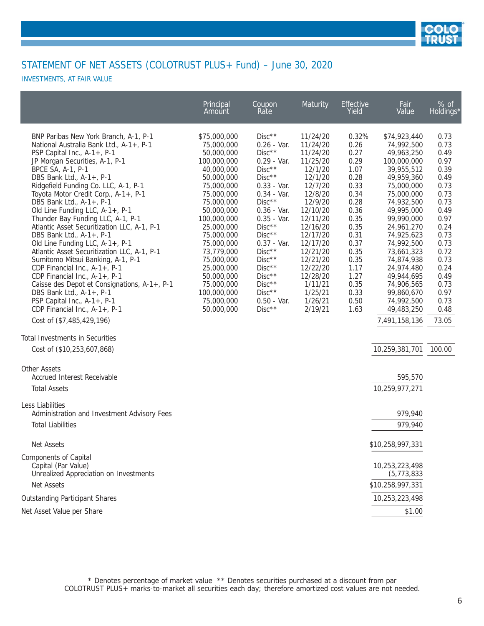

INVESTMENTS, AT FAIR VALUE

|                                                                                                                                                                                                                                                                                                                                                                                                                                                                                                                                                                                                                                                                                                                                                                                                                                                                                                            | Principal<br>Amount                                                                                                                                                                                                                                                                                                   | Coupon<br>Rate                                                                                                                                                                                                                                                                                               | Maturity                                                                                                                                                                                                                                                    | <b>Effective</b><br>Yield                                                                                                                                                     | Fair<br>Value                                                                                                                                                                                                                                                                                                                                          | % of<br>Holdings*                                                                                                                                                                               |
|------------------------------------------------------------------------------------------------------------------------------------------------------------------------------------------------------------------------------------------------------------------------------------------------------------------------------------------------------------------------------------------------------------------------------------------------------------------------------------------------------------------------------------------------------------------------------------------------------------------------------------------------------------------------------------------------------------------------------------------------------------------------------------------------------------------------------------------------------------------------------------------------------------|-----------------------------------------------------------------------------------------------------------------------------------------------------------------------------------------------------------------------------------------------------------------------------------------------------------------------|--------------------------------------------------------------------------------------------------------------------------------------------------------------------------------------------------------------------------------------------------------------------------------------------------------------|-------------------------------------------------------------------------------------------------------------------------------------------------------------------------------------------------------------------------------------------------------------|-------------------------------------------------------------------------------------------------------------------------------------------------------------------------------|--------------------------------------------------------------------------------------------------------------------------------------------------------------------------------------------------------------------------------------------------------------------------------------------------------------------------------------------------------|-------------------------------------------------------------------------------------------------------------------------------------------------------------------------------------------------|
| BNP Paribas New York Branch, A-1, P-1<br>National Australia Bank Ltd., A-1+, P-1<br>PSP Capital Inc., A-1+, P-1<br>JP Morgan Securities, A-1, P-1<br>BPCE SA, A-1, P-1<br>DBS Bank Ltd., $A-1+$ , P-1<br>Ridgefield Funding Co. LLC, A-1, P-1<br>Toyota Motor Credit Corp., A-1+, P-1<br>DBS Bank Ltd., A-1+, P-1<br>Old Line Funding LLC, A-1+, P-1<br>Thunder Bay Funding LLC, A-1, P-1<br>Atlantic Asset Securitization LLC, A-1, P-1<br>DBS Bank Ltd., A-1+, P-1<br>Old Line Funding LLC, A-1+, P-1<br>Atlantic Asset Securitization LLC, A-1, P-1<br>Sumitomo Mitsui Banking, A-1, P-1<br>CDP Financial Inc., A-1+, P-1<br>CDP Financial Inc., A-1+, P-1<br>Caisse des Depot et Consignations, A-1+, P-1<br>DBS Bank Ltd., $A-1+$ , P-1<br>PSP Capital Inc., A-1+, P-1<br>CDP Financial Inc., A-1+, P-1<br>Cost of (\$7,485,429,196)<br>Total Investments in Securities<br>Cost of (\$10,253,607,868) | \$75,000,000<br>75,000,000<br>50,000,000<br>100,000,000<br>40,000,000<br>50,000,000<br>75,000,000<br>75,000,000<br>75,000,000<br>50,000,000<br>100,000,000<br>25,000,000<br>75,000,000<br>75,000,000<br>73,779,000<br>75,000,000<br>25,000,000<br>50,000,000<br>75,000,000<br>100,000,000<br>75,000,000<br>50,000,000 | $Disc**$<br>$0.26 - Var.$<br>$Disc**$<br>$0.29 - Var.$<br>$Disc**$<br>$Disc**$<br>$0.33 - Var.$<br>$0.34 - Var.$<br>$Disc**$<br>$0.36 - Var.$<br>$0.35 - Var.$<br>$Disc**$<br>$Disc**$<br>$0.37 - Var.$<br>$Disc**$<br>$Disc**$<br>$Disc**$<br>$Disc**$<br>$Disc**$<br>$Disc**$<br>$0.50 - Var.$<br>$Disc**$ | 11/24/20<br>11/24/20<br>11/24/20<br>11/25/20<br>12/1/20<br>12/1/20<br>12/7/20<br>12/8/20<br>12/9/20<br>12/10/20<br>12/11/20<br>12/16/20<br>12/17/20<br>12/17/20<br>12/21/20<br>12/21/20<br>12/22/20<br>12/28/20<br>1/11/21<br>1/25/21<br>1/26/21<br>2/19/21 | 0.32%<br>0.26<br>0.27<br>0.29<br>1.07<br>0.28<br>0.33<br>0.34<br>0.28<br>0.36<br>0.35<br>0.35<br>0.31<br>0.37<br>0.35<br>0.35<br>1.17<br>1.27<br>0.35<br>0.33<br>0.50<br>1.63 | \$74,923,440<br>74,992,500<br>49,963,250<br>100,000,000<br>39,955,512<br>49,959,360<br>75,000,000<br>75,000,000<br>74,932,500<br>49,995,000<br>99,990,000<br>24,961,270<br>74,925,623<br>74,992,500<br>73,661,323<br>74,874,938<br>24,974,480<br>49,944,695<br>74,906,565<br>99,860,670<br>74,992,500<br>49,483,250<br>7,491,158,136<br>10,259,381,701 | 0.73<br>0.73<br>0.49<br>0.97<br>0.39<br>0.49<br>0.73<br>0.73<br>0.73<br>0.49<br>0.97<br>0.24<br>0.73<br>0.73<br>0.72<br>0.73<br>0.24<br>0.49<br>0.73<br>0.97<br>0.73<br>0.48<br>73.05<br>100.00 |
| <b>Other Assets</b><br><b>Accrued Interest Receivable</b><br><b>Total Assets</b>                                                                                                                                                                                                                                                                                                                                                                                                                                                                                                                                                                                                                                                                                                                                                                                                                           |                                                                                                                                                                                                                                                                                                                       |                                                                                                                                                                                                                                                                                                              |                                                                                                                                                                                                                                                             |                                                                                                                                                                               | 595,570<br>10,259,977,271                                                                                                                                                                                                                                                                                                                              |                                                                                                                                                                                                 |
| Less Liabilities<br>Administration and Investment Advisory Fees<br><b>Total Liabilities</b>                                                                                                                                                                                                                                                                                                                                                                                                                                                                                                                                                                                                                                                                                                                                                                                                                |                                                                                                                                                                                                                                                                                                                       |                                                                                                                                                                                                                                                                                                              |                                                                                                                                                                                                                                                             |                                                                                                                                                                               | 979,940<br>979,940                                                                                                                                                                                                                                                                                                                                     |                                                                                                                                                                                                 |
| Net Assets                                                                                                                                                                                                                                                                                                                                                                                                                                                                                                                                                                                                                                                                                                                                                                                                                                                                                                 |                                                                                                                                                                                                                                                                                                                       |                                                                                                                                                                                                                                                                                                              |                                                                                                                                                                                                                                                             |                                                                                                                                                                               | \$10,258,997,331                                                                                                                                                                                                                                                                                                                                       |                                                                                                                                                                                                 |
| Components of Capital<br>Capital (Par Value)<br>Unrealized Appreciation on Investments<br>Net Assets                                                                                                                                                                                                                                                                                                                                                                                                                                                                                                                                                                                                                                                                                                                                                                                                       |                                                                                                                                                                                                                                                                                                                       |                                                                                                                                                                                                                                                                                                              |                                                                                                                                                                                                                                                             |                                                                                                                                                                               | 10,253,223,498<br>(5, 773, 833)<br>\$10,258,997,331                                                                                                                                                                                                                                                                                                    |                                                                                                                                                                                                 |
| <b>Outstanding Participant Shares</b>                                                                                                                                                                                                                                                                                                                                                                                                                                                                                                                                                                                                                                                                                                                                                                                                                                                                      |                                                                                                                                                                                                                                                                                                                       |                                                                                                                                                                                                                                                                                                              |                                                                                                                                                                                                                                                             |                                                                                                                                                                               | 10,253,223,498                                                                                                                                                                                                                                                                                                                                         |                                                                                                                                                                                                 |
| Net Asset Value per Share                                                                                                                                                                                                                                                                                                                                                                                                                                                                                                                                                                                                                                                                                                                                                                                                                                                                                  |                                                                                                                                                                                                                                                                                                                       |                                                                                                                                                                                                                                                                                                              |                                                                                                                                                                                                                                                             |                                                                                                                                                                               | \$1.00                                                                                                                                                                                                                                                                                                                                                 |                                                                                                                                                                                                 |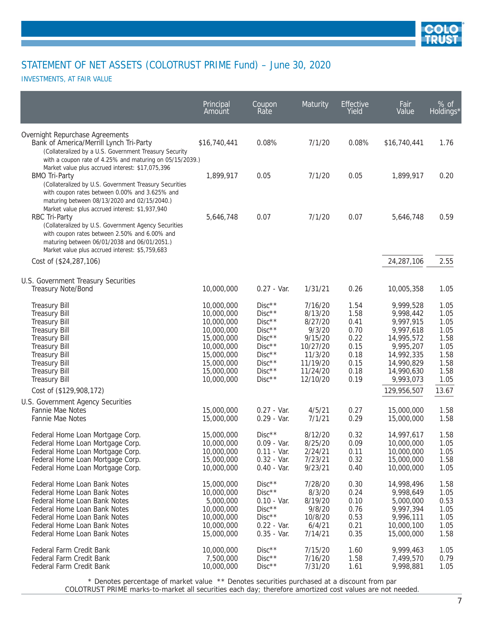

INVESTMENTS, AT FAIR VALUE

|                                                                                                                                                                                                                                                                              | Principal<br>Amount                                                                                                                      | Coupon<br>Rate                                                                                                       | Maturity                                                                                                      | Effective<br>Yield                                                           | Fair<br>Value                                                                                                                      | $%$ of<br>Holdings*                                                          |
|------------------------------------------------------------------------------------------------------------------------------------------------------------------------------------------------------------------------------------------------------------------------------|------------------------------------------------------------------------------------------------------------------------------------------|----------------------------------------------------------------------------------------------------------------------|---------------------------------------------------------------------------------------------------------------|------------------------------------------------------------------------------|------------------------------------------------------------------------------------------------------------------------------------|------------------------------------------------------------------------------|
| Overnight Repurchase Agreements<br>Bank of America/Merrill Lynch Tri-Party<br>(Collateralized by a U.S. Government Treasury Security<br>with a coupon rate of 4.25% and maturing on 05/15/2039.)                                                                             | \$16,740,441                                                                                                                             | 0.08%                                                                                                                | 7/1/20                                                                                                        | 0.08%                                                                        | \$16,740,441                                                                                                                       | 1.76                                                                         |
| Market value plus accrued interest: \$17,075,396<br><b>BMO Tri-Party</b><br>(Collateralized by U.S. Government Treasury Securities<br>with coupon rates between 0.00% and 3.625% and<br>maturing between 08/13/2020 and 02/15/2040.)                                         | 1,899,917                                                                                                                                | 0.05                                                                                                                 | 7/1/20                                                                                                        | 0.05                                                                         | 1,899,917                                                                                                                          | 0.20                                                                         |
| Market value plus accrued interest: \$1,937,940<br>RBC Tri-Party<br>(Collateralized by U.S. Government Agency Securities<br>with coupon rates between 2.50% and 6.00% and<br>maturing between 06/01/2038 and 06/01/2051.)<br>Market value plus accrued interest: \$5,759,683 | 5,646,748                                                                                                                                | 0.07                                                                                                                 | 7/1/20                                                                                                        | 0.07                                                                         | 5,646,748                                                                                                                          | 0.59                                                                         |
| Cost of (\$24,287,106)                                                                                                                                                                                                                                                       |                                                                                                                                          |                                                                                                                      |                                                                                                               |                                                                              | 24,287,106                                                                                                                         | 2.55                                                                         |
| U.S. Government Treasury Securities<br>Treasury Note/Bond                                                                                                                                                                                                                    | 10,000,000                                                                                                                               | $0.27 - Var.$                                                                                                        | 1/31/21                                                                                                       | 0.26                                                                         | 10,005,358                                                                                                                         | 1.05                                                                         |
| <b>Treasury Bill</b><br><b>Treasury Bill</b><br><b>Treasury Bill</b><br>Treasury Bill<br><b>Treasury Bill</b><br><b>Treasury Bill</b><br><b>Treasury Bill</b><br><b>Treasury Bill</b><br><b>Treasury Bill</b><br><b>Treasury Bill</b>                                        | 10,000,000<br>10,000,000<br>10,000,000<br>10,000,000<br>15,000,000<br>10,000,000<br>15,000,000<br>15,000,000<br>15,000,000<br>10,000,000 | $Disc**$<br>$Disc**$<br>$Disc**$<br>$Disc**$<br>$Disc**$<br>$Disc**$<br>$Disc**$<br>$Disc**$<br>$Disc**$<br>$Disc**$ | 7/16/20<br>8/13/20<br>8/27/20<br>9/3/20<br>9/15/20<br>10/27/20<br>11/3/20<br>11/19/20<br>11/24/20<br>12/10/20 | 1.54<br>1.58<br>0.41<br>0.70<br>0.22<br>0.15<br>0.18<br>0.15<br>0.18<br>0.19 | 9,999,528<br>9,998,442<br>9,997,915<br>9,997,618<br>14,995,572<br>9,995,207<br>14,992,335<br>14,990,829<br>14,990,630<br>9,993,073 | 1.05<br>1.05<br>1.05<br>1.05<br>1.58<br>1.05<br>1.58<br>1.58<br>1.58<br>1.05 |
| Cost of (\$129,908,172)<br>U.S. Government Agency Securities                                                                                                                                                                                                                 |                                                                                                                                          |                                                                                                                      |                                                                                                               |                                                                              | 129,956,507                                                                                                                        | 13.67                                                                        |
| Fannie Mae Notes<br>Fannie Mae Notes                                                                                                                                                                                                                                         | 15,000,000<br>15,000,000                                                                                                                 | $0.27 - Var.$<br>$0.29 - Var.$                                                                                       | 4/5/21<br>7/1/21                                                                                              | 0.27<br>0.29                                                                 | 15,000,000<br>15,000,000                                                                                                           | 1.58<br>1.58                                                                 |
| Federal Home Loan Mortgage Corp.<br>Federal Home Loan Mortgage Corp.<br>Federal Home Loan Mortgage Corp.<br>Federal Home Loan Mortgage Corp.<br>Federal Home Loan Mortgage Corp.                                                                                             | 15,000,000<br>10,000,000<br>10,000,000<br>15,000,000<br>10,000,000                                                                       | $Disc**$<br>$0.09 - Var.$<br>$0.11 - Var.$<br>$0.32 - Var.$<br>$0.40 - Var.$                                         | 8/12/20<br>8/25/20<br>2/24/21<br>7/23/21<br>9/23/21                                                           | 0.32<br>0.09<br>0.11<br>0.32<br>0.40                                         | 14,997,617<br>10,000,000<br>10,000,000<br>15,000,000<br>10,000,000                                                                 | 1.58<br>1.05<br>1.05<br>1.58<br>1.05                                         |
| Federal Home Loan Bank Notes<br>Federal Home Loan Bank Notes<br>Federal Home Loan Bank Notes<br>Federal Home Loan Bank Notes<br>Federal Home Loan Bank Notes<br>Federal Home Loan Bank Notes<br>Federal Home Loan Bank Notes                                                 | 15,000,000<br>10,000,000<br>5,000,000<br>10,000,000<br>10,000,000<br>10,000,000<br>15,000,000                                            | $Disc**$<br>$Disc**$<br>$0.10 - Var.$<br>$Disc**$<br>$Disc**$<br>$0.22 - Var.$<br>$0.35 - Var.$                      | 7/28/20<br>8/3/20<br>8/19/20<br>9/8/20<br>10/8/20<br>6/4/21<br>7/14/21                                        | 0.30<br>0.24<br>0.10<br>0.76<br>0.53<br>0.21<br>0.35                         | 14,998,496<br>9,998,649<br>5,000,000<br>9,997,394<br>9,996,111<br>10,000,100<br>15,000,000                                         | 1.58<br>1.05<br>0.53<br>1.05<br>1.05<br>1.05<br>1.58                         |
| Federal Farm Credit Bank<br>Federal Farm Credit Bank<br>Federal Farm Credit Bank                                                                                                                                                                                             | 10,000,000<br>7,500,000<br>10,000,000                                                                                                    | $Disc**$<br>$Disc**$<br>$Disc**$                                                                                     | 7/15/20<br>7/16/20<br>7/31/20                                                                                 | 1.60<br>1.58<br>1.61                                                         | 9,999,463<br>7,499,570<br>9,998,881                                                                                                | 1.05<br>0.79<br>1.05                                                         |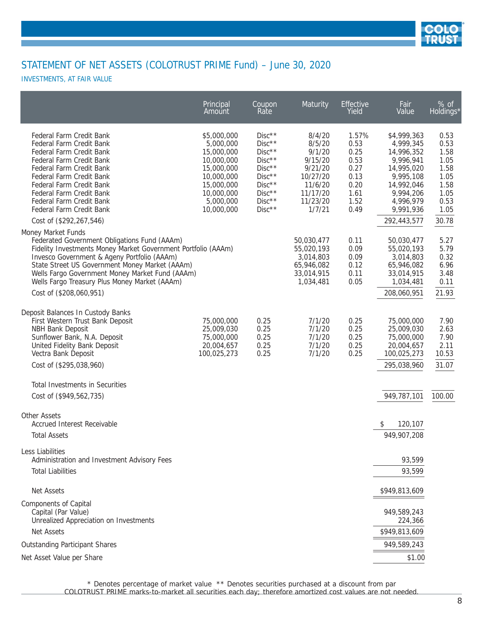

INVESTMENTS, AT FAIR VALUE

|                                                                                                                                                                                                                                                                                                                                          | Principal<br>Amount                                                                                                                     | Coupon<br>Rate                                                                                                       | Maturity                                                                                                  | Effective<br>Yield                                                            | Fair<br>Value                                                                                                                       | $%$ of<br>Holdings*                                                          |
|------------------------------------------------------------------------------------------------------------------------------------------------------------------------------------------------------------------------------------------------------------------------------------------------------------------------------------------|-----------------------------------------------------------------------------------------------------------------------------------------|----------------------------------------------------------------------------------------------------------------------|-----------------------------------------------------------------------------------------------------------|-------------------------------------------------------------------------------|-------------------------------------------------------------------------------------------------------------------------------------|------------------------------------------------------------------------------|
| Federal Farm Credit Bank<br>Federal Farm Credit Bank<br>Federal Farm Credit Bank<br>Federal Farm Credit Bank<br>Federal Farm Credit Bank<br>Federal Farm Credit Bank<br>Federal Farm Credit Bank<br>Federal Farm Credit Bank<br>Federal Farm Credit Bank<br>Federal Farm Credit Bank                                                     | \$5,000,000<br>5,000,000<br>15,000,000<br>10,000,000<br>15,000,000<br>10,000,000<br>15,000,000<br>10,000,000<br>5,000,000<br>10,000,000 | $Disc**$<br>$Disc**$<br>$Disc**$<br>$Disc**$<br>$Disc**$<br>$Disc**$<br>$Disc**$<br>$Disc**$<br>$Disc**$<br>$Disc**$ | 8/4/20<br>8/5/20<br>9/1/20<br>9/15/20<br>9/21/20<br>10/27/20<br>11/6/20<br>11/17/20<br>11/23/20<br>1/7/21 | 1.57%<br>0.53<br>0.25<br>0.53<br>0.27<br>0.13<br>0.20<br>1.61<br>1.52<br>0.49 | \$4,999,363<br>4,999,345<br>14,996,352<br>9,996,941<br>14,995,020<br>9,995,108<br>14,992,046<br>9,994,206<br>4,996,979<br>9,991,936 | 0.53<br>0.53<br>1.58<br>1.05<br>1.58<br>1.05<br>1.58<br>1.05<br>0.53<br>1.05 |
| Cost of (\$292,267,546)                                                                                                                                                                                                                                                                                                                  |                                                                                                                                         |                                                                                                                      |                                                                                                           |                                                                               | 292,443,577                                                                                                                         | 30.78                                                                        |
| Money Market Funds<br>Federated Government Obligations Fund (AAAm)<br>Fidelity Investments Money Market Government Portfolio (AAAm)<br>Invesco Government & Ageny Portfolio (AAAm)<br>State Street US Government Money Market (AAAm)<br>Wells Fargo Government Money Market Fund (AAAm)<br>Wells Fargo Treasury Plus Money Market (AAAm) |                                                                                                                                         |                                                                                                                      | 50,030,477<br>55,020,193<br>3,014,803<br>65,946,082<br>33,014,915<br>1,034,481                            | 0.11<br>0.09<br>0.09<br>0.12<br>0.11<br>0.05                                  | 50,030,477<br>55,020,193<br>3,014,803<br>65,946,082<br>33,014,915<br>1,034,481                                                      | 5.27<br>5.79<br>0.32<br>6.96<br>3.48<br>0.11                                 |
| Cost of (\$208,060,951)                                                                                                                                                                                                                                                                                                                  |                                                                                                                                         |                                                                                                                      |                                                                                                           |                                                                               | 208,060,951                                                                                                                         | 21.93                                                                        |
| Deposit Balances In Custody Banks<br>First Western Trust Bank Deposit<br><b>NBH Bank Deposit</b><br>Sunflower Bank, N.A. Deposit<br>United Fidelity Bank Deposit<br>Vectra Bank Deposit<br>Cost of (\$295,038,960)<br>Total Investments in Securities                                                                                    | 75,000,000<br>25,009,030<br>75,000,000<br>20,004,657<br>100,025,273                                                                     | 0.25<br>0.25<br>0.25<br>0.25<br>0.25                                                                                 | 7/1/20<br>7/1/20<br>7/1/20<br>7/1/20<br>7/1/20                                                            | 0.25<br>0.25<br>0.25<br>0.25<br>0.25                                          | 75,000,000<br>25,009,030<br>75,000,000<br>20,004,657<br>100,025,273<br>295,038,960                                                  | 7.90<br>2.63<br>7.90<br>2.11<br>10.53<br>31.07                               |
| Cost of (\$949,562,735)                                                                                                                                                                                                                                                                                                                  |                                                                                                                                         |                                                                                                                      |                                                                                                           |                                                                               | 949,787,101                                                                                                                         | 100.00                                                                       |
| <b>Other Assets</b><br><b>Accrued Interest Receivable</b><br><b>Total Assets</b>                                                                                                                                                                                                                                                         |                                                                                                                                         |                                                                                                                      |                                                                                                           |                                                                               | 120,107<br>\$<br>949,907,208                                                                                                        |                                                                              |
| Less Liabilities                                                                                                                                                                                                                                                                                                                         |                                                                                                                                         |                                                                                                                      |                                                                                                           |                                                                               |                                                                                                                                     |                                                                              |
| Administration and Investment Advisory Fees                                                                                                                                                                                                                                                                                              |                                                                                                                                         |                                                                                                                      |                                                                                                           |                                                                               | 93,599                                                                                                                              |                                                                              |
| <b>Total Liabilities</b>                                                                                                                                                                                                                                                                                                                 |                                                                                                                                         |                                                                                                                      |                                                                                                           |                                                                               | 93,599                                                                                                                              |                                                                              |
| <b>Net Assets</b>                                                                                                                                                                                                                                                                                                                        |                                                                                                                                         |                                                                                                                      |                                                                                                           |                                                                               | \$949,813,609                                                                                                                       |                                                                              |
| Components of Capital<br>Capital (Par Value)<br>Unrealized Appreciation on Investments                                                                                                                                                                                                                                                   |                                                                                                                                         |                                                                                                                      |                                                                                                           |                                                                               | 949,589,243<br>224,366                                                                                                              |                                                                              |
| Net Assets                                                                                                                                                                                                                                                                                                                               |                                                                                                                                         |                                                                                                                      |                                                                                                           |                                                                               | \$949,813,609                                                                                                                       |                                                                              |
| <b>Outstanding Participant Shares</b>                                                                                                                                                                                                                                                                                                    |                                                                                                                                         |                                                                                                                      |                                                                                                           |                                                                               | 949,589,243                                                                                                                         |                                                                              |
| Net Asset Value per Share                                                                                                                                                                                                                                                                                                                |                                                                                                                                         |                                                                                                                      |                                                                                                           |                                                                               | \$1.00                                                                                                                              |                                                                              |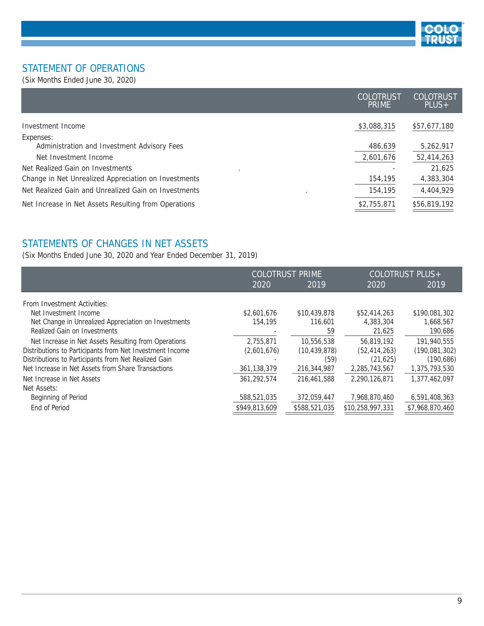

#### STATEMENT OF OPERATIONS

(Six Months Ended June 30, 2020)

|                                                          | COLOTRUST<br><b>PRIME</b> | <b>COLOTRUST</b><br>$PLUS+$ |
|----------------------------------------------------------|---------------------------|-----------------------------|
| Investment Income                                        | \$3,088,315               | \$57,677,180                |
| Expenses:<br>Administration and Investment Advisory Fees | 486,639                   | 5,262,917                   |
| Net Investment Income                                    | 2,601,676                 | 52,414,263                  |
| Net Realized Gain on Investments                         |                           | 21.625                      |
| Change in Net Unrealized Appreciation on Investments     | 154,195                   | 4,383,304                   |
| Net Realized Gain and Unrealized Gain on Investments     | 154,195                   | 4,404,929                   |
| Net Increase in Net Assets Resulting from Operations     | \$2,755,871               | \$56,819,192                |

#### STATEMENTS OF CHANGES IN NET ASSETS

(Six Months Ended June 30, 2020 and Year Ended December 31, 2019)

|                                                          |               | <b>COLOTRUST PRIME</b> |                  | COLOTRUST PLUS+ |
|----------------------------------------------------------|---------------|------------------------|------------------|-----------------|
|                                                          | 2020          | 2019                   | 2020             | 2019            |
| From Investment Activities:                              |               |                        |                  |                 |
| Net Investment Income                                    | \$2,601,676   | \$10,439,878           | \$52,414,263     | \$190,081,302   |
| Net Change in Unrealized Appreciation on Investments     | 154,195       | 116,601                | 4,383,304        | 1,668,567       |
| Realized Gain on Investments                             |               | 59                     | 21,625           | 190,686         |
| Net Increase in Net Assets Resulting from Operations     | 2,755,871     | 10,556,538             | 56.819.192       | 191,940,555     |
| Distributions to Participants from Net Investment Income | (2,601,676)   | (10, 439, 878)         | (52, 414, 263)   | (190, 081, 302) |
| Distributions to Participants from Net Realized Gain     |               | (59)                   | (21, 625)        | (190, 686)      |
| Net Increase in Net Assets from Share Transactions       | 361, 138, 379 | 216,344,987            | 2,285,743,567    | 1,375,793,530   |
| Net Increase in Net Assets                               | 361.292.574   | 216,461,588            | 2.290.126.871    | 1,377,462,097   |
| Net Assets:                                              |               |                        |                  |                 |
| Beginning of Period                                      | 588,521,035   | 372,059,447            | 7,968,870,460    | 6,591,408,363   |
| End of Period                                            | \$949,813,609 | \$588,521,035          | \$10,258,997,331 | \$7,968,870,460 |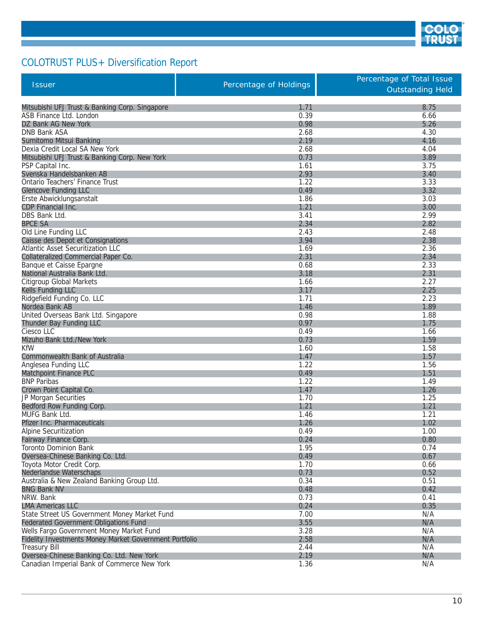

# COLOTRUST PLUS+ Diversification Report

Г

|                                                        |                        | Percentage of Total Issue |
|--------------------------------------------------------|------------------------|---------------------------|
| <b>Issuer</b>                                          | Percentage of Holdings | <b>Outstanding Held</b>   |
|                                                        |                        |                           |
| Mitsubishi UFJ Trust & Banking Corp. Singapore         | 1.71                   | 8.75                      |
| ASB Finance Ltd. London                                | 0.39                   | 6.66                      |
| DZ Bank AG New York                                    | 0.98                   | 5.26                      |
| <b>DNB Bank ASA</b>                                    | 2.68                   | 4.30                      |
| Sumitomo Mitsui Banking                                | 2.19                   | 4.16                      |
| Dexia Credit Local SA New York                         | 2.68                   | 4.04                      |
| Mitsubishi UFJ Trust & Banking Corp. New York          | 0.73                   | 3.89                      |
| PSP Capital Inc.                                       | 1.61                   | 3.75                      |
| Svenska Handelsbanken AB                               | 2.93                   | 3.40                      |
| Ontario Teachers' Finance Trust                        | 1.22                   | 3.33                      |
| <b>Glencove Funding LLC</b>                            | 0.49                   | 3.32                      |
| Erste Abwicklungsanstalt                               | 1.86                   | 3.03                      |
| CDP Financial Inc.                                     | 1.21                   | 3.00                      |
| DBS Bank Ltd.                                          | 3.41                   | 2.99                      |
| <b>BPCE SA</b>                                         | 2.34                   | 2.82                      |
| Old Line Funding LLC                                   | 2.43                   | 2.48                      |
| Caisse des Depot et Consignations                      | 3.94                   | 2.38                      |
| Atlantic Asset Securitization LLC                      | 1.69                   | 2.36                      |
| Collateralized Commercial Paper Co.                    | 2.31                   | 2.34                      |
| Banque et Caisse Epargne                               | 0.68                   | 2.33                      |
| National Australia Bank Ltd.                           | 3.18                   | 2.31                      |
| Citigroup Global Markets                               | 1.66                   | 2.27                      |
| Kells Funding LLC                                      | 3.17                   | 2.25                      |
| Ridgefield Funding Co. LLC                             | 1.71                   | 2.23                      |
| Nordea Bank AB                                         | 1.46                   | 1.89                      |
| United Overseas Bank Ltd. Singapore                    | 0.98                   | 1.88                      |
| Thunder Bay Funding LLC                                | 0.97                   | 1.75                      |
| Ciesco LLC                                             | 0.49                   | 1.66                      |
| Mizuho Bank Ltd./New York                              | 0.73                   | 1.59                      |
| <b>KfW</b>                                             | 1.60                   | 1.58                      |
| Commonwealth Bank of Australia                         | 1.47                   | 1.57                      |
| Anglesea Funding LLC                                   | 1.22                   | 1.56                      |
| Matchpoint Finance PLC                                 | 0.49                   | 1.51                      |
| <b>BNP</b> Paribas                                     | 1.22                   | 1.49                      |
| Crown Point Capital Co.                                | 1.47                   | 1.26                      |
| JP Morgan Securities                                   | 1.70                   | 1.25                      |
| Bedford Row Funding Corp.                              | 1.21                   | 1.21                      |
| MUFG Bank Ltd.                                         | 1.46                   | 1.21                      |
| <b>Pfizer Inc. Pharmaceuticals</b>                     | 1.26                   | 1.02                      |
| Alpine Securitization                                  | 0.49                   | 1.00                      |
| Fairway Finance Corp.                                  | 0.24                   | 0.80                      |
| Toronto Dominion Bank                                  | 1.95                   | 0.74                      |
| Oversea-Chinese Banking Co. Ltd.                       | 0.49                   | 0.67                      |
| Toyota Motor Credit Corp.                              | 1.70                   | 0.66                      |
| Nederlandse Waterschaps                                | 0.73                   | 0.52                      |
| Australia & New Zealand Banking Group Ltd.             | 0.34                   | 0.51                      |
| <b>BNG Bank NV</b>                                     | 0.48                   | 0.42                      |
| NRW. Bank                                              | 0.73                   | 0.41                      |
| <b>LMA Americas LLC</b>                                | 0.24                   | 0.35                      |
| State Street US Government Money Market Fund           | 7.00                   | N/A                       |
| <b>Federated Government Obligations Fund</b>           | 3.55                   | N/A                       |
| Wells Fargo Government Money Market Fund               | 3.28                   | N/A                       |
| Fidelity Investments Money Market Government Portfolio | 2.58                   | N/A                       |
| <b>Treasury Bill</b>                                   | 2.44                   | N/A                       |
| Oversea-Chinese Banking Co. Ltd. New York              | 2.19                   | N/A                       |
| Canadian Imperial Bank of Commerce New York            | 1.36                   | N/A                       |
|                                                        |                        |                           |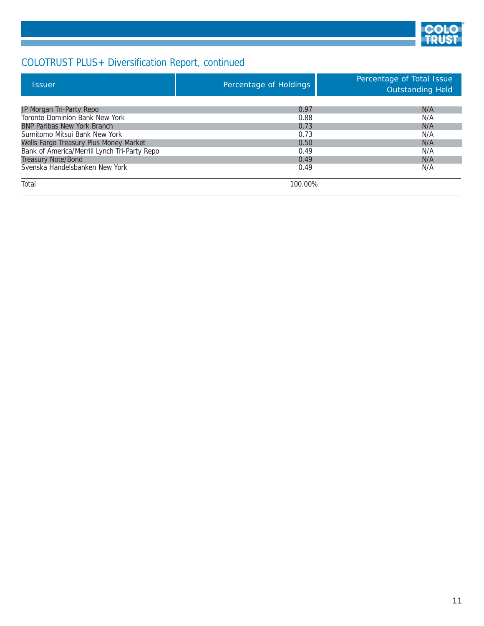

# COLOTRUST PLUS+ Diversification Report, continued

| <b>Issuer</b>                                | Percentage of Holdings | Percentage of Total Issue<br>Outstanding Held |
|----------------------------------------------|------------------------|-----------------------------------------------|
|                                              |                        |                                               |
| JP Morgan Tri-Party Repo                     | 0.97                   | N/A                                           |
| Toronto Dominion Bank New York               | 0.88                   | N/A                                           |
| <b>BNP Paribas New York Branch</b>           | 0.73                   | N/A                                           |
| Sumitomo Mitsui Bank New York                | 0.73                   | N/A                                           |
| Wells Fargo Treasury Plus Money Market       | 0.50                   | N/A                                           |
| Bank of America/Merrill Lynch Tri-Party Repo | 0.49                   | N/A                                           |
| <b>Treasury Note/Bond</b>                    | 0.49                   | N/A                                           |
| Svenska Handelsbanken New York               | 0.49                   | N/A                                           |
| Total                                        | 100.00%                |                                               |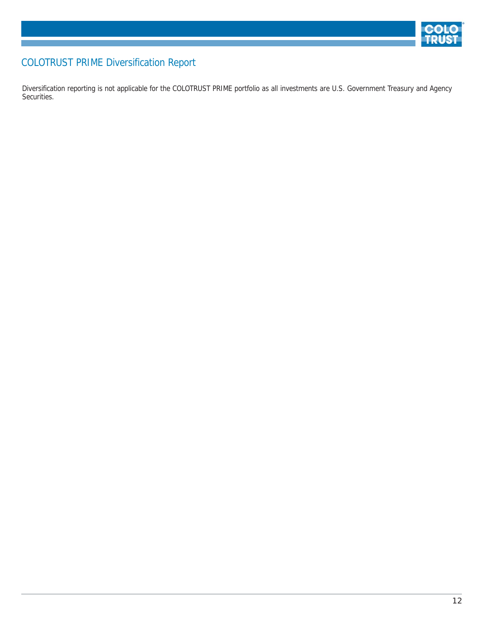

# COLOTRUST PRIME Diversification Report

Diversification reporting is not applicable for the COLOTRUST PRIME portfolio as all investments are U.S. Government Treasury and Agency Securities.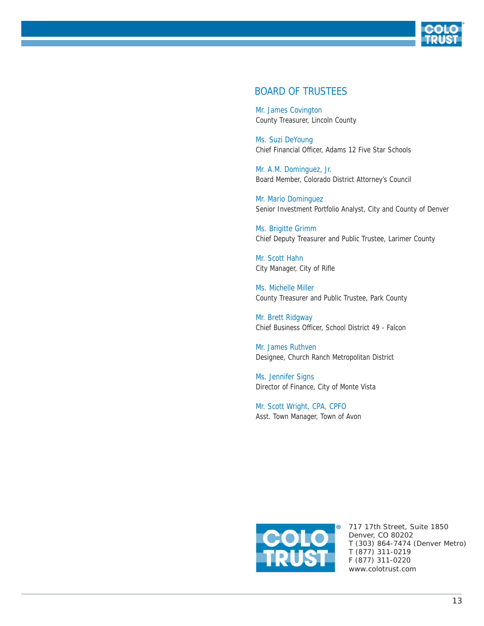

#### BOARD OF TRUSTEES

Mr. James Covington County Treasurer, Lincoln County

Ms. Suzi DeYoung Chief Financial Officer, Adams 12 Five Star Schools

Mr. A.M. Dominguez, Jr. Board Member, Colorado District Attorney's Council

Mr. Mario Dominguez Senior Investment Portfolio Analyst, City and County of Denver

Ms. Brigitte Grimm Chief Deputy Treasurer and Public Trustee, Larimer County

Mr. Scott Hahn City Manager, City of Rifle

Ms. Michelle Miller County Treasurer and Public Trustee, Park County

Mr. Brett Ridgway Chief Business Officer, School District 49 - Falcon

Mr. James Ruthven Designee, Church Ranch Metropolitan District

Ms. Jennifer Signs Director of Finance, City of Monte Vista

Mr. Scott Wright, CPA, CPFO Asst. Town Manager, Town of Avon



717 17th Street, Suite 1850 Denver, CO 80202 T (303) 864-7474 (Denver Metro) T (877) 311-0219 F (877) 311-0220 www.colotrust.com